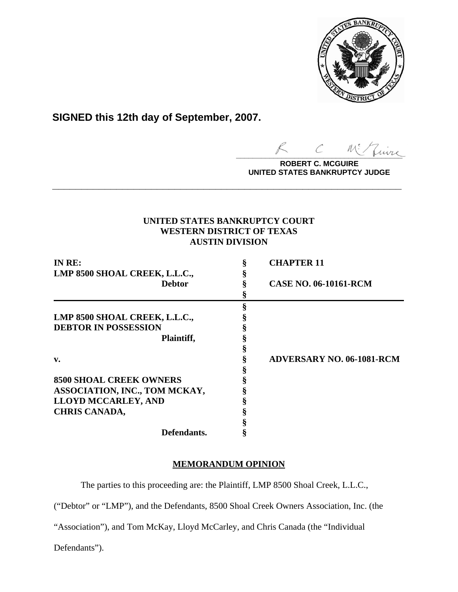

**SIGNED this 12th day of September, 2007.**

 $\sim$  more

**ROBERT C. MCGUIRE UNITED STATES BANKRUPTCY JUDGE**

# **UNITED STATES BANKRUPTCY COURT WESTERN DISTRICT OF TEXAS AUSTIN DIVISION**

**\_\_\_\_\_\_\_\_\_\_\_\_\_\_\_\_\_\_\_\_\_\_\_\_\_\_\_\_\_\_\_\_\_\_\_\_\_\_\_\_\_\_\_\_\_\_\_\_\_\_\_\_\_\_\_\_\_\_\_\_**

| IN RE:                         | <b>CHAPTER 11</b>                |
|--------------------------------|----------------------------------|
| LMP 8500 SHOAL CREEK, L.L.C.,  |                                  |
| <b>Debtor</b>                  | <b>CASE NO. 06-10161-RCM</b>     |
|                                |                                  |
|                                |                                  |
| LMP 8500 SHOAL CREEK, L.L.C.,  |                                  |
| <b>DEBTOR IN POSSESSION</b>    |                                  |
| Plaintiff,                     |                                  |
|                                |                                  |
| $\mathbf{v}$ .                 | <b>ADVERSARY NO. 06-1081-RCM</b> |
|                                |                                  |
| <b>8500 SHOAL CREEK OWNERS</b> |                                  |
| ASSOCIATION, INC., TOM MCKAY,  |                                  |
| <b>LLOYD MCCARLEY, AND</b>     |                                  |
| <b>CHRIS CANADA,</b>           |                                  |
|                                |                                  |
| Defendants.                    |                                  |

# **MEMORANDUM OPINION**

The parties to this proceeding are: the Plaintiff, LMP 8500 Shoal Creek, L.L.C.,

("Debtor" or "LMP"), and the Defendants, 8500 Shoal Creek Owners Association, Inc. (the

"Association"), and Tom McKay, Lloyd McCarley, and Chris Canada (the "Individual

Defendants").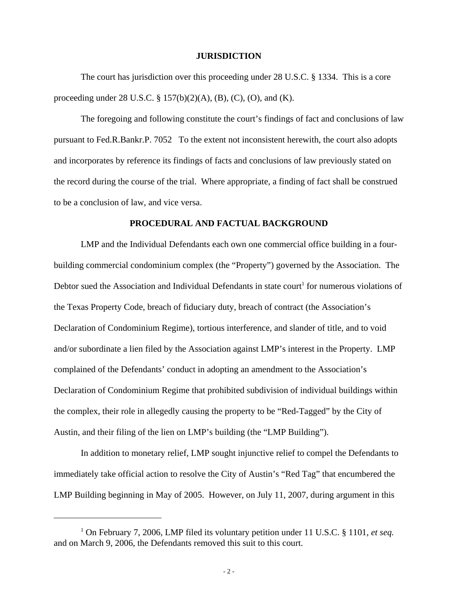#### **JURISDICTION**

The court has jurisdiction over this proceeding under 28 U.S.C. § 1334. This is a core proceeding under 28 U.S.C. § 157(b)(2)(A), (B), (C), (O), and (K).

The foregoing and following constitute the court's findings of fact and conclusions of law pursuant to Fed.R.Bankr.P. 7052 To the extent not inconsistent herewith, the court also adopts and incorporates by reference its findings of facts and conclusions of law previously stated on the record during the course of the trial. Where appropriate, a finding of fact shall be construed to be a conclusion of law, and vice versa.

#### **PROCEDURAL AND FACTUAL BACKGROUND**

LMP and the Individual Defendants each own one commercial office building in a fourbuilding commercial condominium complex (the "Property") governed by the Association. The Debtor sued the Association and Individual Defendants in state court<sup>1</sup> for numerous violations of the Texas Property Code, breach of fiduciary duty, breach of contract (the Association's Declaration of Condominium Regime), tortious interference, and slander of title, and to void and/or subordinate a lien filed by the Association against LMP's interest in the Property. LMP complained of the Defendants' conduct in adopting an amendment to the Association's Declaration of Condominium Regime that prohibited subdivision of individual buildings within the complex, their role in allegedly causing the property to be "Red-Tagged" by the City of Austin, and their filing of the lien on LMP's building (the "LMP Building").

In addition to monetary relief, LMP sought injunctive relief to compel the Defendants to immediately take official action to resolve the City of Austin's "Red Tag" that encumbered the LMP Building beginning in May of 2005. However, on July 11, 2007, during argument in this

<sup>&</sup>lt;sup>1</sup> On February 7, 2006, LMP filed its voluntary petition under 11 U.S.C. § 1101, *et seq.* and on March 9, 2006, the Defendants removed this suit to this court.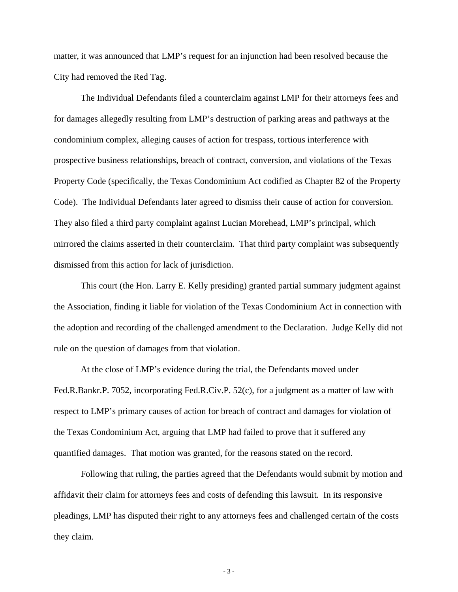matter, it was announced that LMP's request for an injunction had been resolved because the City had removed the Red Tag.

The Individual Defendants filed a counterclaim against LMP for their attorneys fees and for damages allegedly resulting from LMP's destruction of parking areas and pathways at the condominium complex, alleging causes of action for trespass, tortious interference with prospective business relationships, breach of contract, conversion, and violations of the Texas Property Code (specifically, the Texas Condominium Act codified as Chapter 82 of the Property Code). The Individual Defendants later agreed to dismiss their cause of action for conversion. They also filed a third party complaint against Lucian Morehead, LMP's principal, which mirrored the claims asserted in their counterclaim. That third party complaint was subsequently dismissed from this action for lack of jurisdiction.

This court (the Hon. Larry E. Kelly presiding) granted partial summary judgment against the Association, finding it liable for violation of the Texas Condominium Act in connection with the adoption and recording of the challenged amendment to the Declaration. Judge Kelly did not rule on the question of damages from that violation.

At the close of LMP's evidence during the trial, the Defendants moved under Fed.R.Bankr.P. 7052, incorporating Fed.R.Civ.P. 52(c), for a judgment as a matter of law with respect to LMP's primary causes of action for breach of contract and damages for violation of the Texas Condominium Act, arguing that LMP had failed to prove that it suffered any quantified damages. That motion was granted, for the reasons stated on the record.

Following that ruling, the parties agreed that the Defendants would submit by motion and affidavit their claim for attorneys fees and costs of defending this lawsuit. In its responsive pleadings, LMP has disputed their right to any attorneys fees and challenged certain of the costs they claim.

- 3 -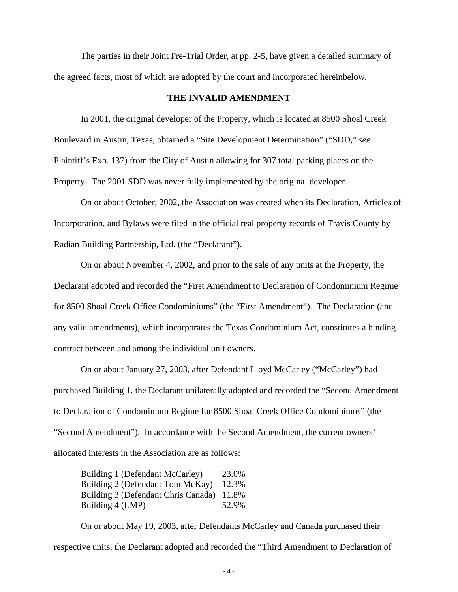The parties in their Joint Pre-Trial Order, at pp. 2-5, have given a detailed summary of the agreed facts, most of which are adopted by the court and incorporated hereinbelow.

#### **THE INVALID AMENDMENT**

In 2001, the original developer of the Property, which is located at 8500 Shoal Creek Boulevard in Austin, Texas, obtained a "Site Development Determination" ("SDD," *see* Plaintiff's Exh. 137) from the City of Austin allowing for 307 total parking places on the Property. The 2001 SDD was never fully implemented by the original developer.

On or about October, 2002, the Association was created when its Declaration, Articles of Incorporation, and Bylaws were filed in the official real property records of Travis County by Radian Building Partnership, Ltd. (the "Declarant").

On or about November 4, 2002, and prior to the sale of any units at the Property, the Declarant adopted and recorded the "First Amendment to Declaration of Condominium Regime for 8500 Shoal Creek Office Condominiums" (the "First Amendment"). The Declaration (and any valid amendments), which incorporates the Texas Condominium Act, constitutes a binding contract between and among the individual unit owners.

On or about January 27, 2003, after Defendant Lloyd McCarley ("McCarley") had purchased Building 1, the Declarant unilaterally adopted and recorded the "Second Amendment to Declaration of Condominium Regime for 8500 Shoal Creek Office Condominiums" (the "Second Amendment"). In accordance with the Second Amendment, the current owners' allocated interests in the Association are as follows:

Building 1 (Defendant McCarley) 23.0% Building 2 (Defendant Tom McKay) 12.3% Building 3 (Defendant Chris Canada) 11.8% Building 4 (LMP) 52.9%

On or about May 19, 2003, after Defendants McCarley and Canada purchased their respective units, the Declarant adopted and recorded the "Third Amendment to Declaration of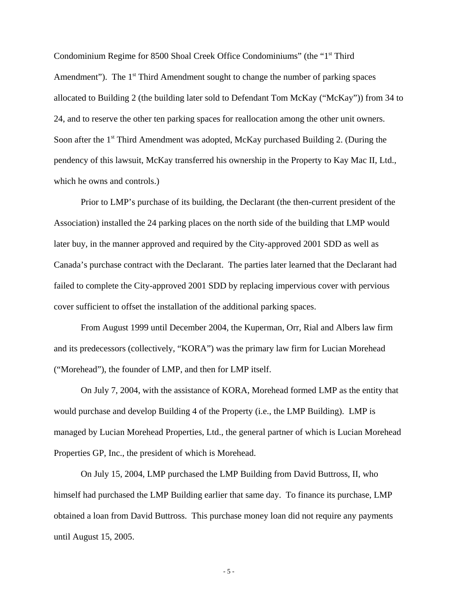Condominium Regime for 8500 Shoal Creek Office Condominiums" (the "1<sup>st</sup> Third Amendment"). The  $1<sup>st</sup>$  Third Amendment sought to change the number of parking spaces allocated to Building 2 (the building later sold to Defendant Tom McKay ("McKay")) from 34 to 24, and to reserve the other ten parking spaces for reallocation among the other unit owners. Soon after the  $1<sup>st</sup>$  Third Amendment was adopted, McKay purchased Building 2. (During the pendency of this lawsuit, McKay transferred his ownership in the Property to Kay Mac II, Ltd., which he owns and controls.)

Prior to LMP's purchase of its building, the Declarant (the then-current president of the Association) installed the 24 parking places on the north side of the building that LMP would later buy, in the manner approved and required by the City-approved 2001 SDD as well as Canada's purchase contract with the Declarant. The parties later learned that the Declarant had failed to complete the City-approved 2001 SDD by replacing impervious cover with pervious cover sufficient to offset the installation of the additional parking spaces.

From August 1999 until December 2004, the Kuperman, Orr, Rial and Albers law firm and its predecessors (collectively, "KORA") was the primary law firm for Lucian Morehead ("Morehead"), the founder of LMP, and then for LMP itself.

On July 7, 2004, with the assistance of KORA, Morehead formed LMP as the entity that would purchase and develop Building 4 of the Property (i.e., the LMP Building). LMP is managed by Lucian Morehead Properties, Ltd., the general partner of which is Lucian Morehead Properties GP, Inc., the president of which is Morehead.

On July 15, 2004, LMP purchased the LMP Building from David Buttross, II, who himself had purchased the LMP Building earlier that same day. To finance its purchase, LMP obtained a loan from David Buttross. This purchase money loan did not require any payments until August 15, 2005.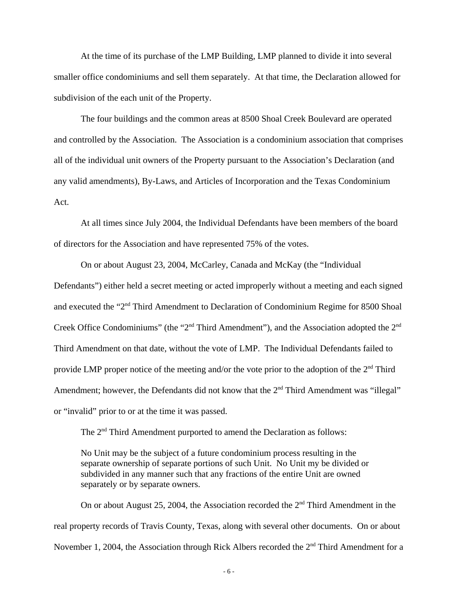At the time of its purchase of the LMP Building, LMP planned to divide it into several smaller office condominiums and sell them separately. At that time, the Declaration allowed for subdivision of the each unit of the Property.

The four buildings and the common areas at 8500 Shoal Creek Boulevard are operated and controlled by the Association. The Association is a condominium association that comprises all of the individual unit owners of the Property pursuant to the Association's Declaration (and any valid amendments), By-Laws, and Articles of Incorporation and the Texas Condominium Act.

At all times since July 2004, the Individual Defendants have been members of the board of directors for the Association and have represented 75% of the votes.

On or about August 23, 2004, McCarley, Canada and McKay (the "Individual Defendants") either held a secret meeting or acted improperly without a meeting and each signed and executed the "2nd Third Amendment to Declaration of Condominium Regime for 8500 Shoal Creek Office Condominiums" (the "2<sup>nd</sup> Third Amendment"), and the Association adopted the 2<sup>nd</sup> Third Amendment on that date, without the vote of LMP. The Individual Defendants failed to provide LMP proper notice of the meeting and/or the vote prior to the adoption of the 2nd Third Amendment; however, the Defendants did not know that the  $2<sup>nd</sup>$  Third Amendment was "illegal" or "invalid" prior to or at the time it was passed.

The  $2<sup>nd</sup>$  Third Amendment purported to amend the Declaration as follows:

No Unit may be the subject of a future condominium process resulting in the separate ownership of separate portions of such Unit. No Unit my be divided or subdivided in any manner such that any fractions of the entire Unit are owned separately or by separate owners.

On or about August 25, 2004, the Association recorded the  $2<sup>nd</sup>$  Third Amendment in the real property records of Travis County, Texas, along with several other documents. On or about November 1, 2004, the Association through Rick Albers recorded the  $2<sup>nd</sup>$  Third Amendment for a

- 6 -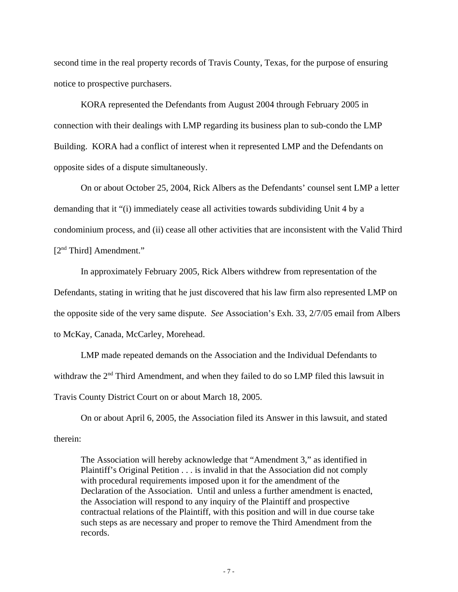second time in the real property records of Travis County, Texas, for the purpose of ensuring notice to prospective purchasers.

KORA represented the Defendants from August 2004 through February 2005 in connection with their dealings with LMP regarding its business plan to sub-condo the LMP Building. KORA had a conflict of interest when it represented LMP and the Defendants on opposite sides of a dispute simultaneously.

On or about October 25, 2004, Rick Albers as the Defendants' counsel sent LMP a letter demanding that it "(i) immediately cease all activities towards subdividing Unit 4 by a condominium process, and (ii) cease all other activities that are inconsistent with the Valid Third [2<sup>nd</sup> Third] Amendment."

In approximately February 2005, Rick Albers withdrew from representation of the Defendants, stating in writing that he just discovered that his law firm also represented LMP on the opposite side of the very same dispute. *See* Association's Exh. 33, 2/7/05 email from Albers

to McKay, Canada, McCarley, Morehead.

LMP made repeated demands on the Association and the Individual Defendants to withdraw the 2<sup>nd</sup> Third Amendment, and when they failed to do so LMP filed this lawsuit in Travis County District Court on or about March 18, 2005.

On or about April 6, 2005, the Association filed its Answer in this lawsuit, and stated therein:

The Association will hereby acknowledge that "Amendment 3," as identified in Plaintiff's Original Petition . . . is invalid in that the Association did not comply with procedural requirements imposed upon it for the amendment of the Declaration of the Association. Until and unless a further amendment is enacted, the Association will respond to any inquiry of the Plaintiff and prospective contractual relations of the Plaintiff, with this position and will in due course take such steps as are necessary and proper to remove the Third Amendment from the records.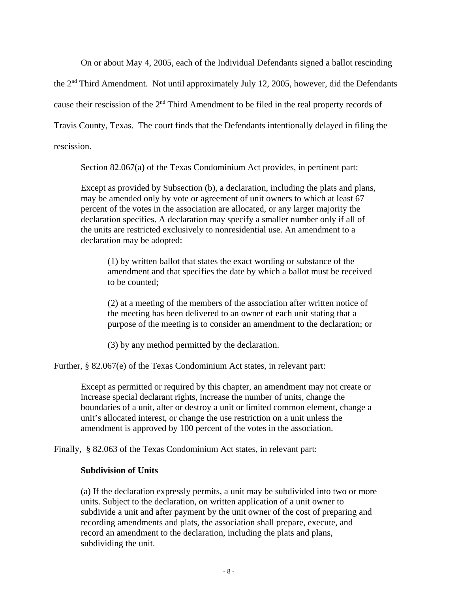On or about May 4, 2005, each of the Individual Defendants signed a ballot rescinding

the  $2<sup>nd</sup>$  Third Amendment. Not until approximately July 12, 2005, however, did the Defendants

cause their rescission of the 2nd Third Amendment to be filed in the real property records of

Travis County, Texas. The court finds that the Defendants intentionally delayed in filing the

rescission.

Section 82.067(a) of the Texas Condominium Act provides, in pertinent part:

Except as provided by Subsection (b), a declaration, including the plats and plans, may be amended only by vote or agreement of unit owners to which at least 67 percent of the votes in the association are allocated, or any larger majority the declaration specifies. A declaration may specify a smaller number only if all of the units are restricted exclusively to nonresidential use. An amendment to a declaration may be adopted:

(1) by written ballot that states the exact wording or substance of the amendment and that specifies the date by which a ballot must be received to be counted;

(2) at a meeting of the members of the association after written notice of the meeting has been delivered to an owner of each unit stating that a purpose of the meeting is to consider an amendment to the declaration; or

(3) by any method permitted by the declaration.

Further, § 82.067(e) of the Texas Condominium Act states, in relevant part:

Except as permitted or required by this chapter, an amendment may not create or increase special declarant rights, increase the number of units, change the boundaries of a unit, alter or destroy a unit or limited common element, change a unit's allocated interest, or change the use restriction on a unit unless the amendment is approved by 100 percent of the votes in the association.

Finally, § 82.063 of the Texas Condominium Act states, in relevant part:

# **Subdivision of Units**

(a) If the declaration expressly permits, a unit may be subdivided into two or more units. Subject to the declaration, on written application of a unit owner to subdivide a unit and after payment by the unit owner of the cost of preparing and recording amendments and plats, the association shall prepare, execute, and record an amendment to the declaration, including the plats and plans, subdividing the unit.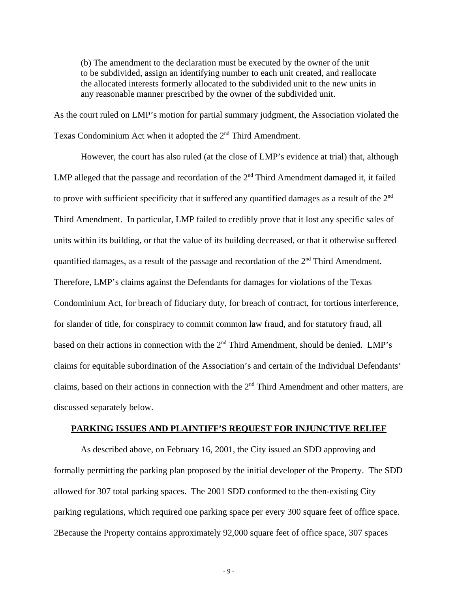(b) The amendment to the declaration must be executed by the owner of the unit to be subdivided, assign an identifying number to each unit created, and reallocate the allocated interests formerly allocated to the subdivided unit to the new units in any reasonable manner prescribed by the owner of the subdivided unit.

As the court ruled on LMP's motion for partial summary judgment, the Association violated the Texas Condominium Act when it adopted the 2<sup>nd</sup> Third Amendment.

However, the court has also ruled (at the close of LMP's evidence at trial) that, although LMP alleged that the passage and recordation of the  $2<sup>nd</sup>$  Third Amendment damaged it, it failed to prove with sufficient specificity that it suffered any quantified damages as a result of the  $2<sup>nd</sup>$ Third Amendment. In particular, LMP failed to credibly prove that it lost any specific sales of units within its building, or that the value of its building decreased, or that it otherwise suffered quantified damages, as a result of the passage and recordation of the  $2<sup>nd</sup>$  Third Amendment. Therefore, LMP's claims against the Defendants for damages for violations of the Texas Condominium Act, for breach of fiduciary duty, for breach of contract, for tortious interference, for slander of title, for conspiracy to commit common law fraud, and for statutory fraud, all based on their actions in connection with the 2<sup>nd</sup> Third Amendment, should be denied. LMP's claims for equitable subordination of the Association's and certain of the Individual Defendants' claims, based on their actions in connection with the 2<sup>nd</sup> Third Amendment and other matters, are discussed separately below.

## **PARKING ISSUES AND PLAINTIFF'S REQUEST FOR INJUNCTIVE RELIEF**

As described above, on February 16, 2001, the City issued an SDD approving and formally permitting the parking plan proposed by the initial developer of the Property. The SDD allowed for 307 total parking spaces. The 2001 SDD conformed to the then-existing City parking regulations, which required one parking space per every 300 square feet of office space. 2Because the Property contains approximately 92,000 square feet of office space, 307 spaces

- 9 -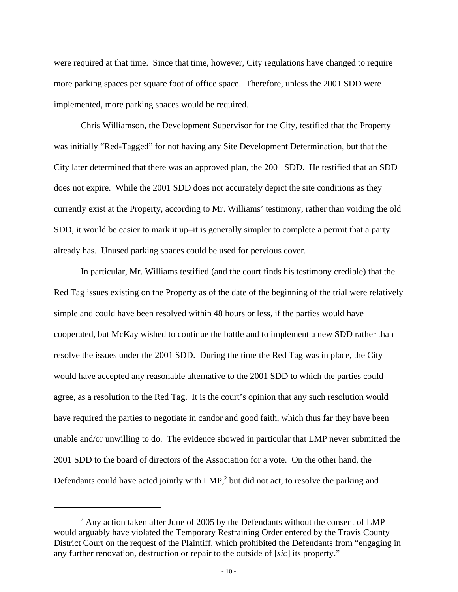were required at that time. Since that time, however, City regulations have changed to require more parking spaces per square foot of office space. Therefore, unless the 2001 SDD were implemented, more parking spaces would be required.

Chris Williamson, the Development Supervisor for the City, testified that the Property was initially "Red-Tagged" for not having any Site Development Determination, but that the City later determined that there was an approved plan, the 2001 SDD. He testified that an SDD does not expire. While the 2001 SDD does not accurately depict the site conditions as they currently exist at the Property, according to Mr. Williams' testimony, rather than voiding the old SDD, it would be easier to mark it up–it is generally simpler to complete a permit that a party already has. Unused parking spaces could be used for pervious cover.

In particular, Mr. Williams testified (and the court finds his testimony credible) that the Red Tag issues existing on the Property as of the date of the beginning of the trial were relatively simple and could have been resolved within 48 hours or less, if the parties would have cooperated, but McKay wished to continue the battle and to implement a new SDD rather than resolve the issues under the 2001 SDD. During the time the Red Tag was in place, the City would have accepted any reasonable alternative to the 2001 SDD to which the parties could agree, as a resolution to the Red Tag. It is the court's opinion that any such resolution would have required the parties to negotiate in candor and good faith, which thus far they have been unable and/or unwilling to do. The evidence showed in particular that LMP never submitted the 2001 SDD to the board of directors of the Association for a vote. On the other hand, the Defendants could have acted jointly with  $LMP<sub>i</sub>$  but did not act, to resolve the parking and

 $2^{2}$  Any action taken after June of 2005 by the Defendants without the consent of LMP would arguably have violated the Temporary Restraining Order entered by the Travis County District Court on the request of the Plaintiff, which prohibited the Defendants from "engaging in any further renovation, destruction or repair to the outside of [*sic*] its property."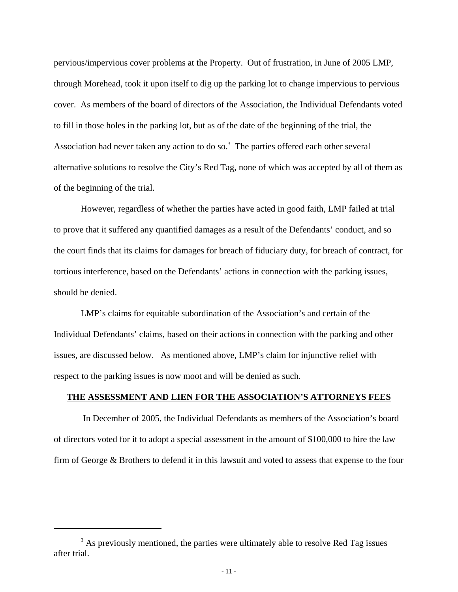pervious/impervious cover problems at the Property. Out of frustration, in June of 2005 LMP, through Morehead, took it upon itself to dig up the parking lot to change impervious to pervious cover. As members of the board of directors of the Association, the Individual Defendants voted to fill in those holes in the parking lot, but as of the date of the beginning of the trial, the Association had never taken any action to do so. $3$  The parties offered each other several alternative solutions to resolve the City's Red Tag, none of which was accepted by all of them as of the beginning of the trial.

However, regardless of whether the parties have acted in good faith, LMP failed at trial to prove that it suffered any quantified damages as a result of the Defendants' conduct, and so the court finds that its claims for damages for breach of fiduciary duty, for breach of contract, for tortious interference, based on the Defendants' actions in connection with the parking issues, should be denied.

LMP's claims for equitable subordination of the Association's and certain of the Individual Defendants' claims, based on their actions in connection with the parking and other issues, are discussed below. As mentioned above, LMP's claim for injunctive relief with respect to the parking issues is now moot and will be denied as such.

## **THE ASSESSMENT AND LIEN FOR THE ASSOCIATION'S ATTORNEYS FEES**

In December of 2005, the Individual Defendants as members of the Association's board of directors voted for it to adopt a special assessment in the amount of \$100,000 to hire the law firm of George & Brothers to defend it in this lawsuit and voted to assess that expense to the four

<sup>&</sup>lt;sup>3</sup> As previously mentioned, the parties were ultimately able to resolve Red Tag issues after trial.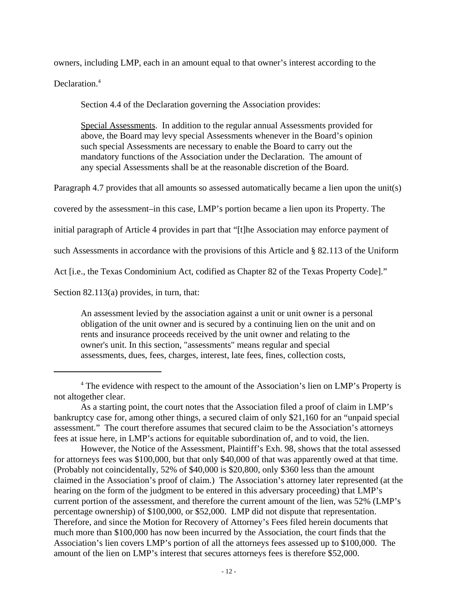owners, including LMP, each in an amount equal to that owner's interest according to the

Declaration.<sup>4</sup>

Section 4.4 of the Declaration governing the Association provides:

Special Assessments. In addition to the regular annual Assessments provided for above, the Board may levy special Assessments whenever in the Board's opinion such special Assessments are necessary to enable the Board to carry out the mandatory functions of the Association under the Declaration. The amount of any special Assessments shall be at the reasonable discretion of the Board.

Paragraph 4.7 provides that all amounts so assessed automatically became a lien upon the unit(s)

covered by the assessment–in this case, LMP's portion became a lien upon its Property. The

initial paragraph of Article 4 provides in part that "[t]he Association may enforce payment of

such Assessments in accordance with the provisions of this Article and § 82.113 of the Uniform

Act [i.e., the Texas Condominium Act, codified as Chapter 82 of the Texas Property Code]."

Section 82.113(a) provides, in turn, that:

An assessment levied by the association against a unit or unit owner is a personal obligation of the unit owner and is secured by a continuing lien on the unit and on rents and insurance proceeds received by the unit owner and relating to the owner's unit. In this section, "assessments" means regular and special assessments, dues, fees, charges, interest, late fees, fines, collection costs,

<sup>&</sup>lt;sup>4</sup> The evidence with respect to the amount of the Association's lien on LMP's Property is not altogether clear.

As a starting point, the court notes that the Association filed a proof of claim in LMP's bankruptcy case for, among other things, a secured claim of only \$21,160 for an "unpaid special assessment." The court therefore assumes that secured claim to be the Association's attorneys fees at issue here, in LMP's actions for equitable subordination of, and to void, the lien.

However, the Notice of the Assessment, Plaintiff's Exh. 98, shows that the total assessed for attorneys fees was \$100,000, but that only \$40,000 of that was apparently owed at that time. (Probably not coincidentally, 52% of \$40,000 is \$20,800, only \$360 less than the amount claimed in the Association's proof of claim.) The Association's attorney later represented (at the hearing on the form of the judgment to be entered in this adversary proceeding) that LMP's current portion of the assessment, and therefore the current amount of the lien, was 52% (LMP's percentage ownership) of \$100,000, or \$52,000. LMP did not dispute that representation. Therefore, and since the Motion for Recovery of Attorney's Fees filed herein documents that much more than \$100,000 has now been incurred by the Association, the court finds that the Association's lien covers LMP's portion of all the attorneys fees assessed up to \$100,000. The amount of the lien on LMP's interest that secures attorneys fees is therefore \$52,000.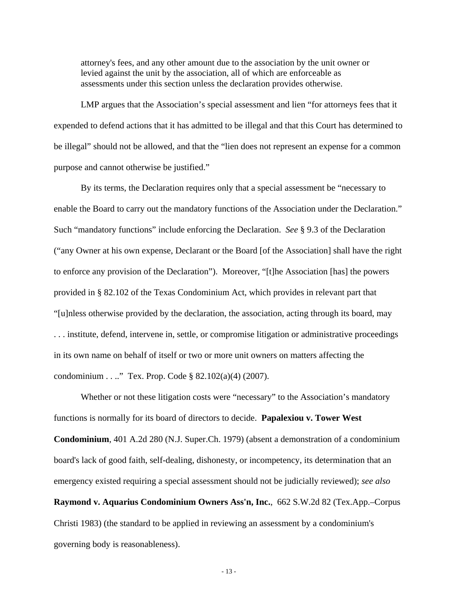attorney's fees, and any other amount due to the association by the unit owner or levied against the unit by the association, all of which are enforceable as assessments under this section unless the declaration provides otherwise.

LMP argues that the Association's special assessment and lien "for attorneys fees that it expended to defend actions that it has admitted to be illegal and that this Court has determined to be illegal" should not be allowed, and that the "lien does not represent an expense for a common purpose and cannot otherwise be justified."

By its terms, the Declaration requires only that a special assessment be "necessary to enable the Board to carry out the mandatory functions of the Association under the Declaration." Such "mandatory functions" include enforcing the Declaration. *See* § 9.3 of the Declaration ("any Owner at his own expense, Declarant or the Board [of the Association] shall have the right to enforce any provision of the Declaration"). Moreover, "[t]he Association [has] the powers provided in § 82.102 of the Texas Condominium Act, which provides in relevant part that "[u]nless otherwise provided by the declaration, the association, acting through its board, may . . . institute, defend, intervene in, settle, or compromise litigation or administrative proceedings in its own name on behalf of itself or two or more unit owners on matters affecting the condominium . . .." Tex. Prop. Code § 82.102(a)(4) (2007).

Whether or not these litigation costs were "necessary" to the Association's mandatory functions is normally for its board of directors to decide. **Papalexiou v. Tower West Condominium**, 401 A.2d 280 (N.J. Super.Ch. 1979) (absent a demonstration of a condominium board's lack of good faith, self-dealing, dishonesty, or incompetency, its determination that an emergency existed requiring a special assessment should not be judicially reviewed); *see also* **Raymond v. Aquarius Condominium Owners Ass'n, Inc.**, 662 S.W.2d 82 (Tex.App.–Corpus Christi 1983) (the standard to be applied in reviewing an assessment by a condominium's governing body is reasonableness).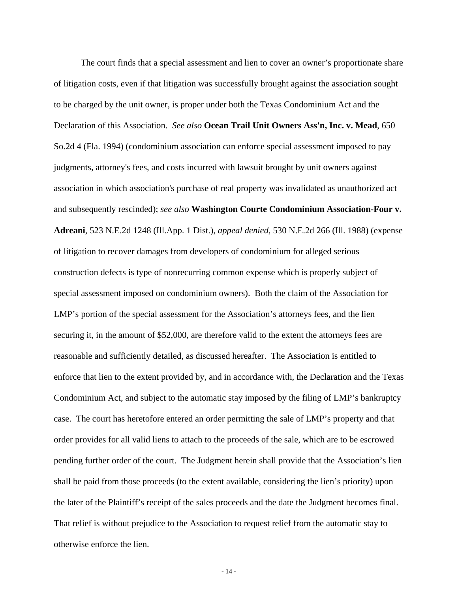The court finds that a special assessment and lien to cover an owner's proportionate share of litigation costs, even if that litigation was successfully brought against the association sought to be charged by the unit owner, is proper under both the Texas Condominium Act and the Declaration of this Association. *See also* **Ocean Trail Unit Owners Ass'n, Inc. v. Mead**, 650 So.2d 4 (Fla. 1994) (condominium association can enforce special assessment imposed to pay judgments, attorney's fees, and costs incurred with lawsuit brought by unit owners against association in which association's purchase of real property was invalidated as unauthorized act and subsequently rescinded); *see also* **Washington Courte Condominium Association-Four v. Adreani**, 523 N.E.2d 1248 (Ill.App. 1 Dist.), *appeal denied,* 530 N.E.2d 266 (Ill. 1988) (expense of litigation to recover damages from developers of condominium for alleged serious construction defects is type of nonrecurring common expense which is properly subject of special assessment imposed on condominium owners). Both the claim of the Association for LMP's portion of the special assessment for the Association's attorneys fees, and the lien securing it, in the amount of \$52,000, are therefore valid to the extent the attorneys fees are reasonable and sufficiently detailed, as discussed hereafter. The Association is entitled to enforce that lien to the extent provided by, and in accordance with, the Declaration and the Texas Condominium Act, and subject to the automatic stay imposed by the filing of LMP's bankruptcy case. The court has heretofore entered an order permitting the sale of LMP's property and that order provides for all valid liens to attach to the proceeds of the sale, which are to be escrowed pending further order of the court. The Judgment herein shall provide that the Association's lien shall be paid from those proceeds (to the extent available, considering the lien's priority) upon the later of the Plaintiff's receipt of the sales proceeds and the date the Judgment becomes final. That relief is without prejudice to the Association to request relief from the automatic stay to otherwise enforce the lien.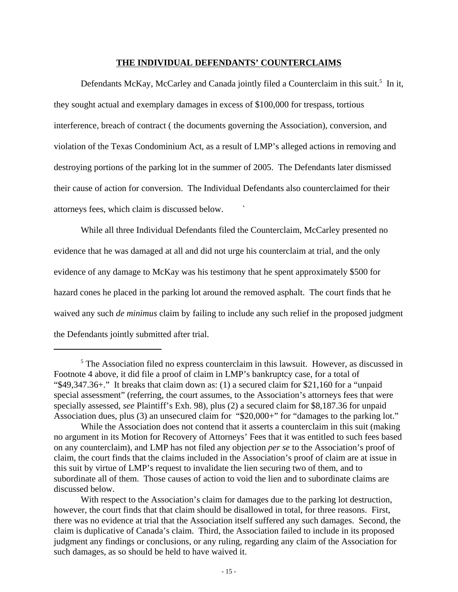#### **THE INDIVIDUAL DEFENDANTS' COUNTERCLAIMS**

Defendants McKay, McCarley and Canada jointly filed a Counterclaim in this suit.<sup>5</sup> In it, they sought actual and exemplary damages in excess of \$100,000 for trespass, tortious interference, breach of contract ( the documents governing the Association), conversion, and violation of the Texas Condominium Act, as a result of LMP's alleged actions in removing and destroying portions of the parking lot in the summer of 2005. The Defendants later dismissed their cause of action for conversion. The Individual Defendants also counterclaimed for their attorneys fees, which claim is discussed below. `

While all three Individual Defendants filed the Counterclaim, McCarley presented no evidence that he was damaged at all and did not urge his counterclaim at trial, and the only evidence of any damage to McKay was his testimony that he spent approximately \$500 for hazard cones he placed in the parking lot around the removed asphalt. The court finds that he waived any such *de minimus* claim by failing to include any such relief in the proposed judgment the Defendants jointly submitted after trial.

<sup>&</sup>lt;sup>5</sup> The Association filed no express counterclaim in this lawsuit. However, as discussed in Footnote 4 above, it did file a proof of claim in LMP's bankruptcy case, for a total of "\$49,347.36+." It breaks that claim down as: (1) a secured claim for \$21,160 for a "unpaid special assessment" (referring, the court assumes, to the Association's attorneys fees that were specially assessed, *see* Plaintiff's Exh. 98), plus (2) a secured claim for \$8,187.36 for unpaid Association dues, plus (3) an unsecured claim for "\$20,000+" for "damages to the parking lot."

While the Association does not contend that it asserts a counterclaim in this suit (making no argument in its Motion for Recovery of Attorneys' Fees that it was entitled to such fees based on any counterclaim), and LMP has not filed any objection *per se* to the Association's proof of claim, the court finds that the claims included in the Association's proof of claim are at issue in this suit by virtue of LMP's request to invalidate the lien securing two of them, and to subordinate all of them. Those causes of action to void the lien and to subordinate claims are discussed below.

With respect to the Association's claim for damages due to the parking lot destruction, however, the court finds that that claim should be disallowed in total, for three reasons. First, there was no evidence at trial that the Association itself suffered any such damages. Second, the claim is duplicative of Canada's claim. Third, the Association failed to include in its proposed judgment any findings or conclusions, or any ruling, regarding any claim of the Association for such damages, as so should be held to have waived it.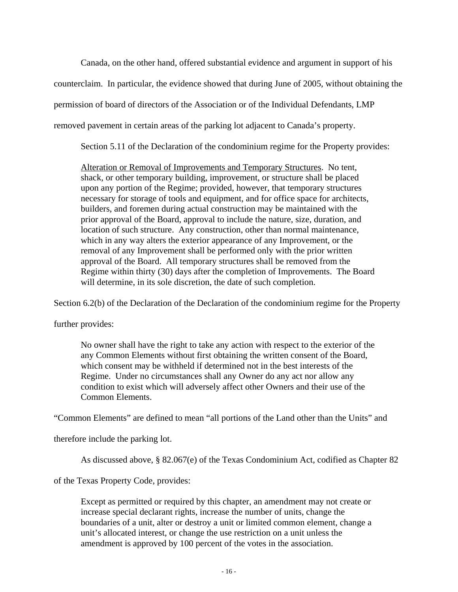Canada, on the other hand, offered substantial evidence and argument in support of his

counterclaim. In particular, the evidence showed that during June of 2005, without obtaining the

permission of board of directors of the Association or of the Individual Defendants, LMP

removed pavement in certain areas of the parking lot adjacent to Canada's property.

Section 5.11 of the Declaration of the condominium regime for the Property provides:

Alteration or Removal of Improvements and Temporary Structures. No tent, shack, or other temporary building, improvement, or structure shall be placed upon any portion of the Regime; provided, however, that temporary structures necessary for storage of tools and equipment, and for office space for architects, builders, and foremen during actual construction may be maintained with the prior approval of the Board, approval to include the nature, size, duration, and location of such structure. Any construction, other than normal maintenance, which in any way alters the exterior appearance of any Improvement, or the removal of any Improvement shall be performed only with the prior written approval of the Board. All temporary structures shall be removed from the Regime within thirty (30) days after the completion of Improvements. The Board will determine, in its sole discretion, the date of such completion.

Section 6.2(b) of the Declaration of the Declaration of the condominium regime for the Property

further provides:

No owner shall have the right to take any action with respect to the exterior of the any Common Elements without first obtaining the written consent of the Board, which consent may be withheld if determined not in the best interests of the Regime. Under no circumstances shall any Owner do any act nor allow any condition to exist which will adversely affect other Owners and their use of the Common Elements.

"Common Elements" are defined to mean "all portions of the Land other than the Units" and

therefore include the parking lot.

As discussed above, § 82.067(e) of the Texas Condominium Act, codified as Chapter 82

of the Texas Property Code, provides:

Except as permitted or required by this chapter, an amendment may not create or increase special declarant rights, increase the number of units, change the boundaries of a unit, alter or destroy a unit or limited common element, change a unit's allocated interest, or change the use restriction on a unit unless the amendment is approved by 100 percent of the votes in the association.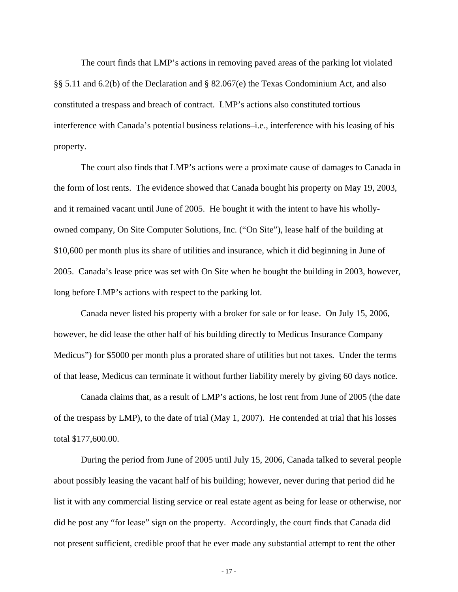The court finds that LMP's actions in removing paved areas of the parking lot violated §§ 5.11 and 6.2(b) of the Declaration and § 82.067(e) the Texas Condominium Act, and also constituted a trespass and breach of contract. LMP's actions also constituted tortious interference with Canada's potential business relations–i.e., interference with his leasing of his property.

The court also finds that LMP's actions were a proximate cause of damages to Canada in the form of lost rents. The evidence showed that Canada bought his property on May 19, 2003, and it remained vacant until June of 2005. He bought it with the intent to have his whollyowned company, On Site Computer Solutions, Inc. ("On Site"), lease half of the building at \$10,600 per month plus its share of utilities and insurance, which it did beginning in June of 2005. Canada's lease price was set with On Site when he bought the building in 2003, however, long before LMP's actions with respect to the parking lot.

Canada never listed his property with a broker for sale or for lease. On July 15, 2006, however, he did lease the other half of his building directly to Medicus Insurance Company Medicus") for \$5000 per month plus a prorated share of utilities but not taxes. Under the terms of that lease, Medicus can terminate it without further liability merely by giving 60 days notice.

Canada claims that, as a result of LMP's actions, he lost rent from June of 2005 (the date of the trespass by LMP), to the date of trial (May 1, 2007). He contended at trial that his losses total \$177,600.00.

During the period from June of 2005 until July 15, 2006, Canada talked to several people about possibly leasing the vacant half of his building; however, never during that period did he list it with any commercial listing service or real estate agent as being for lease or otherwise, nor did he post any "for lease" sign on the property. Accordingly, the court finds that Canada did not present sufficient, credible proof that he ever made any substantial attempt to rent the other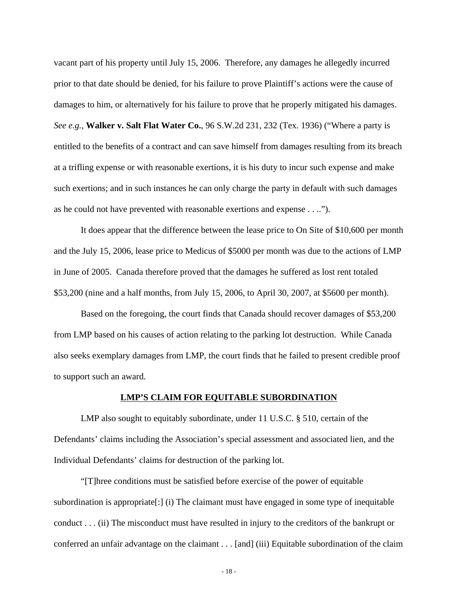vacant part of his property until July 15, 2006. Therefore, any damages he allegedly incurred prior to that date should be denied, for his failure to prove Plaintiff's actions were the cause of damages to him, or alternatively for his failure to prove that he properly mitigated his damages. *See e.g.,* **Walker v. Salt Flat Water Co.**, 96 S.W.2d 231, 232 (Tex. 1936) ("Where a party is entitled to the benefits of a contract and can save himself from damages resulting from its breach at a trifling expense or with reasonable exertions, it is his duty to incur such expense and make such exertions; and in such instances he can only charge the party in default with such damages as he could not have prevented with reasonable exertions and expense . . ..").

It does appear that the difference between the lease price to On Site of \$10,600 per month and the July 15, 2006, lease price to Medicus of \$5000 per month was due to the actions of LMP in June of 2005. Canada therefore proved that the damages he suffered as lost rent totaled \$53,200 (nine and a half months, from July 15, 2006, to April 30, 2007, at \$5600 per month).

Based on the foregoing, the court finds that Canada should recover damages of \$53,200 from LMP based on his causes of action relating to the parking lot destruction. While Canada also seeks exemplary damages from LMP, the court finds that he failed to present credible proof to support such an award.

#### **LMP'S CLAIM FOR EQUITABLE SUBORDINATION**

LMP also sought to equitably subordinate, under 11 U.S.C. § 510, certain of the Defendants' claims including the Association's special assessment and associated lien, and the Individual Defendants' claims for destruction of the parking lot.

"[T]hree conditions must be satisfied before exercise of the power of equitable subordination is appropriate[:] (i) The claimant must have engaged in some type of inequitable conduct . . . (ii) The misconduct must have resulted in injury to the creditors of the bankrupt or conferred an unfair advantage on the claimant . . . [and] (iii) Equitable subordination of the claim

- 18 -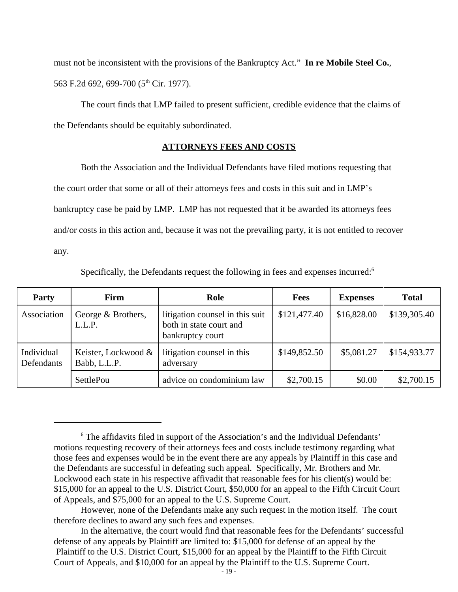must not be inconsistent with the provisions of the Bankruptcy Act." **In re Mobile Steel Co.**, 563 F.2d 692, 699-700 (5<sup>th</sup> Cir. 1977).

The court finds that LMP failed to present sufficient, credible evidence that the claims of the Defendants should be equitably subordinated.

## **ATTORNEYS FEES AND COSTS**

Both the Association and the Individual Defendants have filed motions requesting that the court order that some or all of their attorneys fees and costs in this suit and in LMP's bankruptcy case be paid by LMP. LMP has not requested that it be awarded its attorneys fees and/or costs in this action and, because it was not the prevailing party, it is not entitled to recover any.

Specifically, the Defendants request the following in fees and expenses incurred:<sup>6</sup>

| Party                    | Firm                                | Role                                                                           | <b>Fees</b>  | <b>Expenses</b> | <b>Total</b> |
|--------------------------|-------------------------------------|--------------------------------------------------------------------------------|--------------|-----------------|--------------|
| Association              | George & Brothers,<br>L.L.P.        | litigation counsel in this suit<br>both in state court and<br>bankruptcy court | \$121,477.40 | \$16,828.00     | \$139,305.40 |
| Individual<br>Defendants | Keister, Lockwood &<br>Babb, L.L.P. | litigation counsel in this<br>adversary                                        | \$149,852.50 | \$5,081.27      | \$154,933.77 |
|                          | SettlePou                           | advice on condominium law                                                      | \$2,700.15   | \$0.00          | \$2,700.15   |

<sup>&</sup>lt;sup>6</sup> The affidavits filed in support of the Association's and the Individual Defendants' motions requesting recovery of their attorneys fees and costs include testimony regarding what those fees and expenses would be in the event there are any appeals by Plaintiff in this case and the Defendants are successful in defeating such appeal. Specifically, Mr. Brothers and Mr. Lockwood each state in his respective affivadit that reasonable fees for his client(s) would be: \$15,000 for an appeal to the U.S. District Court, \$50,000 for an appeal to the Fifth Circuit Court of Appeals, and \$75,000 for an appeal to the U.S. Supreme Court.

However, none of the Defendants make any such request in the motion itself. The court therefore declines to award any such fees and expenses.

In the alternative, the court would find that reasonable fees for the Defendants' successful defense of any appeals by Plaintiff are limited to: \$15,000 for defense of an appeal by the Plaintiff to the U.S. District Court, \$15,000 for an appeal by the Plaintiff to the Fifth Circuit Court of Appeals, and \$10,000 for an appeal by the Plaintiff to the U.S. Supreme Court.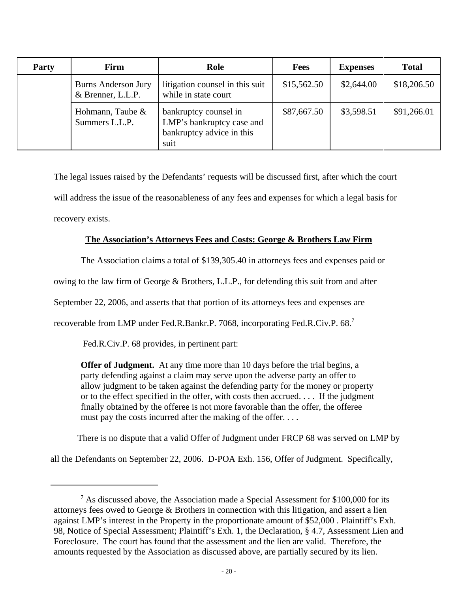| Party | Firm                                            | Role                                                                                    | <b>Fees</b> | <b>Expenses</b> | <b>Total</b> |
|-------|-------------------------------------------------|-----------------------------------------------------------------------------------------|-------------|-----------------|--------------|
|       | <b>Burns Anderson Jury</b><br>& Brenner, L.L.P. | litigation counsel in this suit<br>while in state court                                 | \$15,562.50 | \$2,644.00      | \$18,206.50  |
|       | Hohmann, Taube &<br>Summers L.L.P.              | bankruptcy counsel in<br>LMP's bankruptcy case and<br>bankruptcy advice in this<br>suit | \$87,667.50 | \$3,598.51      | \$91,266.01  |

The legal issues raised by the Defendants' requests will be discussed first, after which the court will address the issue of the reasonableness of any fees and expenses for which a legal basis for recovery exists.

# **The Association's Attorneys Fees and Costs: George & Brothers Law Firm**

The Association claims a total of \$139,305.40 in attorneys fees and expenses paid or

owing to the law firm of George & Brothers, L.L.P., for defending this suit from and after

September 22, 2006, and asserts that that portion of its attorneys fees and expenses are

recoverable from LMP under Fed.R.Bankr.P. 7068, incorporating Fed.R.Civ.P. 68.7

Fed.R.Civ.P. 68 provides, in pertinent part:

**Offer of Judgment.** At any time more than 10 days before the trial begins, a party defending against a claim may serve upon the adverse party an offer to allow judgment to be taken against the defending party for the money or property or to the effect specified in the offer, with costs then accrued. . . . If the judgment finally obtained by the offeree is not more favorable than the offer, the offeree must pay the costs incurred after the making of the offer. . . .

There is no dispute that a valid Offer of Judgment under FRCP 68 was served on LMP by

all the Defendants on September 22, 2006. D-POA Exh. 156, Offer of Judgment. Specifically,

 $7$  As discussed above, the Association made a Special Assessment for \$100,000 for its attorneys fees owed to George & Brothers in connection with this litigation, and assert a lien against LMP's interest in the Property in the proportionate amount of \$52,000 . Plaintiff's Exh. 98, Notice of Special Assessment; Plaintiff's Exh. 1, the Declaration, § 4.7, Assessment Lien and Foreclosure. The court has found that the assessment and the lien are valid. Therefore, the amounts requested by the Association as discussed above, are partially secured by its lien.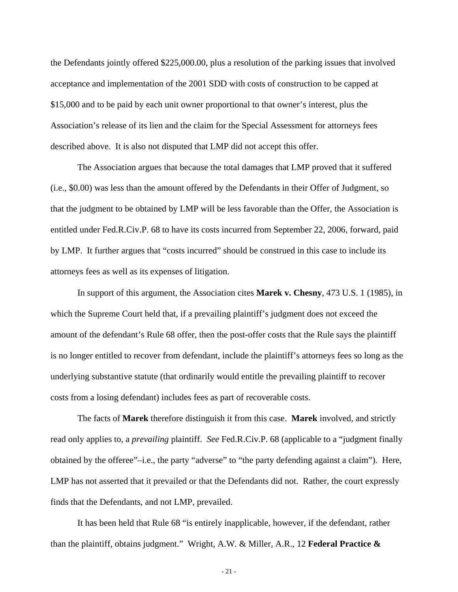the Defendants jointly offered \$225,000.00, plus a resolution of the parking issues that involved acceptance and implementation of the 2001 SDD with costs of construction to be capped at \$15,000 and to be paid by each unit owner proportional to that owner's interest, plus the Association's release of its lien and the claim for the Special Assessment for attorneys fees described above. It is also not disputed that LMP did not accept this offer.

The Association argues that because the total damages that LMP proved that it suffered (i.e., \$0.00) was less than the amount offered by the Defendants in their Offer of Judgment, so that the judgment to be obtained by LMP will be less favorable than the Offer, the Association is entitled under Fed.R.Civ.P. 68 to have its costs incurred from September 22, 2006, forward, paid by LMP. It further argues that "costs incurred" should be construed in this case to include its attorneys fees as well as its expenses of litigation.

In support of this argument, the Association cites **Marek v. Chesny**, 473 U.S. 1 (1985), in which the Supreme Court held that, if a prevailing plaintiff's judgment does not exceed the amount of the defendant's Rule 68 offer, then the post-offer costs that the Rule says the plaintiff is no longer entitled to recover from defendant, include the plaintiff's attorneys fees so long as the underlying substantive statute (that ordinarily would entitle the prevailing plaintiff to recover costs from a losing defendant) includes fees as part of recoverable costs.

The facts of **Marek** therefore distinguish it from this case. **Marek** involved, and strictly read only applies to, a *prevailing* plaintiff. *See* Fed.R.Civ.P. 68 (applicable to a "judgment finally obtained by the offeree"–i.e., the party "adverse" to "the party defending against a claim"). Here, LMP has not asserted that it prevailed or that the Defendants did not. Rather, the court expressly finds that the Defendants, and not LMP, prevailed.

It has been held that Rule 68 "is entirely inapplicable, however, if the defendant, rather than the plaintiff, obtains judgment." Wright, A.W. & Miller, A.R., 12 **Federal Practice &**

- 21 -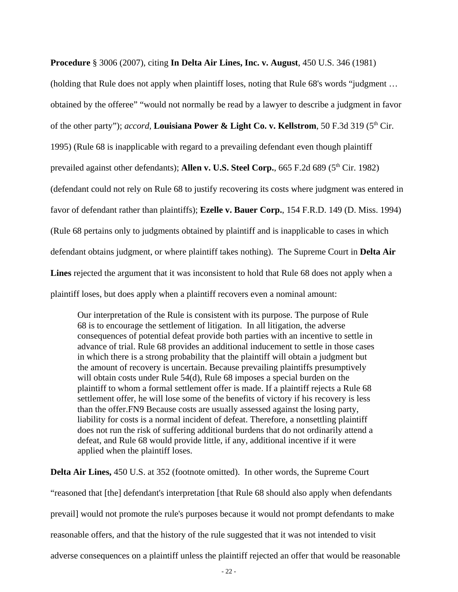**Procedure** § 3006 (2007), citing **In Delta Air Lines, Inc. v. August**, 450 U.S. 346 (1981)

(holding that Rule does not apply when plaintiff loses, noting that Rule 68's words "judgment … obtained by the offeree" "would not normally be read by a lawyer to describe a judgment in favor of the other party"); *accord*, **Louisiana Power & Light Co. v. Kellstrom**, 50 F.3d 319 (5<sup>th</sup> Cir. 1995) (Rule 68 is inapplicable with regard to a prevailing defendant even though plaintiff prevailed against other defendants); **Allen v. U.S. Steel Corp.**, 665 F.2d 689 (5<sup>th</sup> Cir. 1982) (defendant could not rely on Rule 68 to justify recovering its costs where judgment was entered in favor of defendant rather than plaintiffs); **Ezelle v. Bauer Corp.**, 154 F.R.D. 149 (D. Miss. 1994) (Rule 68 pertains only to judgments obtained by plaintiff and is inapplicable to cases in which defendant obtains judgment, or where plaintiff takes nothing). The Supreme Court in **Delta Air Lines** rejected the argument that it was inconsistent to hold that Rule 68 does not apply when a plaintiff loses, but does apply when a plaintiff recovers even a nominal amount:

Our interpretation of the Rule is consistent with its purpose. The purpose of Rule 68 is to encourage the settlement of litigation. In all litigation, the adverse consequences of potential defeat provide both parties with an incentive to settle in advance of trial. Rule 68 provides an additional inducement to settle in those cases in which there is a strong probability that the plaintiff will obtain a judgment but the amount of recovery is uncertain. Because prevailing plaintiffs presumptively will obtain costs under Rule 54(d), Rule 68 imposes a special burden on the plaintiff to whom a formal settlement offer is made. If a plaintiff rejects a Rule 68 settlement offer, he will lose some of the benefits of victory if his recovery is less than the offer.FN9 Because costs are usually assessed against the losing party, liability for costs is a normal incident of defeat. Therefore, a nonsettling plaintiff does not run the risk of suffering additional burdens that do not ordinarily attend a defeat, and Rule 68 would provide little, if any, additional incentive if it were applied when the plaintiff loses.

**Delta Air Lines,** 450 U.S. at 352 (footnote omitted). In other words, the Supreme Court

"reasoned that [the] defendant's interpretation [that Rule 68 should also apply when defendants prevail] would not promote the rule's purposes because it would not prompt defendants to make reasonable offers, and that the history of the rule suggested that it was not intended to visit adverse consequences on a plaintiff unless the plaintiff rejected an offer that would be reasonable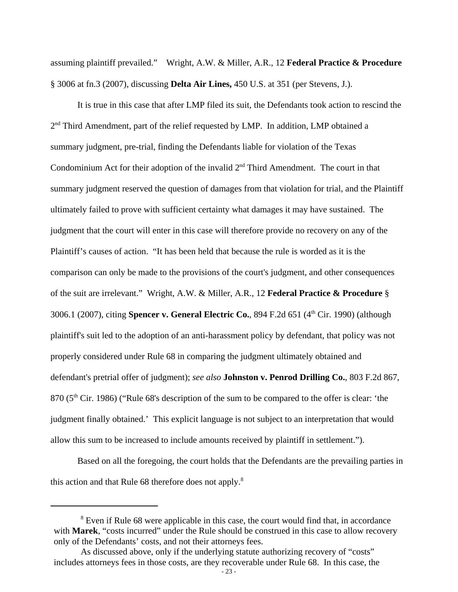assuming plaintiff prevailed." Wright, A.W. & Miller, A.R., 12 **Federal Practice & Procedure** § 3006 at fn.3 (2007), discussing **Delta Air Lines,** 450 U.S. at 351 (per Stevens, J.).

It is true in this case that after LMP filed its suit, the Defendants took action to rescind the 2<sup>nd</sup> Third Amendment, part of the relief requested by LMP. In addition, LMP obtained a summary judgment, pre-trial, finding the Defendants liable for violation of the Texas Condominium Act for their adoption of the invalid  $2<sup>nd</sup>$  Third Amendment. The court in that summary judgment reserved the question of damages from that violation for trial, and the Plaintiff ultimately failed to prove with sufficient certainty what damages it may have sustained. The judgment that the court will enter in this case will therefore provide no recovery on any of the Plaintiff's causes of action. "It has been held that because the rule is worded as it is the comparison can only be made to the provisions of the court's judgment, and other consequences of the suit are irrelevant." Wright, A.W. & Miller, A.R., 12 **Federal Practice & Procedure** § 3006.1 (2007), citing **Spencer v. General Electric Co.**, 894 F.2d 651 (4th Cir. 1990) (although plaintiff's suit led to the adoption of an anti-harassment policy by defendant, that policy was not properly considered under Rule 68 in comparing the judgment ultimately obtained and defendant's pretrial offer of judgment); *see also* **Johnston v. Penrod Drilling Co.**, 803 F.2d 867, 870 (5<sup>th</sup> Cir. 1986) ("Rule 68's description of the sum to be compared to the offer is clear: 'the judgment finally obtained.' This explicit language is not subject to an interpretation that would allow this sum to be increased to include amounts received by plaintiff in settlement.").

Based on all the foregoing, the court holds that the Defendants are the prevailing parties in this action and that Rule 68 therefore does not apply.<sup>8</sup>

<sup>&</sup>lt;sup>8</sup> Even if Rule 68 were applicable in this case, the court would find that, in accordance with **Marek**, "costs incurred" under the Rule should be construed in this case to allow recovery only of the Defendants' costs, and not their attorneys fees.

As discussed above, only if the underlying statute authorizing recovery of "costs" includes attorneys fees in those costs, are they recoverable under Rule 68. In this case, the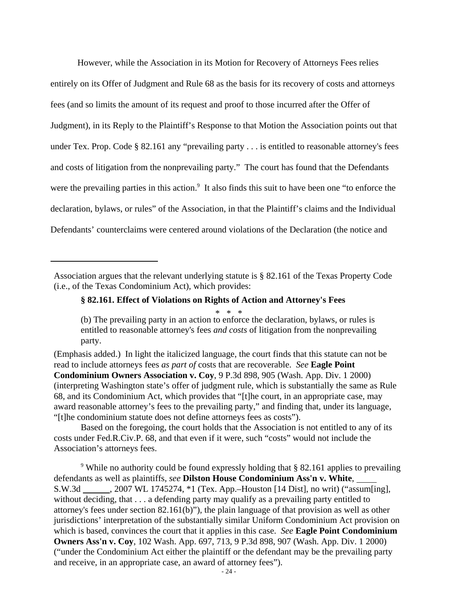However, while the Association in its Motion for Recovery of Attorneys Fees relies entirely on its Offer of Judgment and Rule 68 as the basis for its recovery of costs and attorneys fees (and so limits the amount of its request and proof to those incurred after the Offer of Judgment), in its Reply to the Plaintiff's Response to that Motion the Association points out that under Tex. Prop. Code § 82.161 any "prevailing party . . . is entitled to reasonable attorney's fees and costs of litigation from the nonprevailing party." The court has found that the Defendants were the prevailing parties in this action.<sup>9</sup> It also finds this suit to have been one "to enforce the declaration, bylaws, or rules" of the Association, in that the Plaintiff's claims and the Individual Defendants' counterclaims were centered around violations of the Declaration (the notice and

### **§ 82.161. Effect of Violations on Rights of Action and Attorney's Fees**

\* \* \*

(Emphasis added.) In light the italicized language, the court finds that this statute can not be read to include attorneys fees *as part of* costs that are recoverable. *See* **Eagle Point Condominium Owners Association v. Coy**, 9 P.3d 898, 905 (Wash. App. Div. 1 2000) (interpreting Washington state's offer of judgment rule, which is substantially the same as Rule 68, and its Condominium Act, which provides that "[t]he court, in an appropriate case, may award reasonable attorney's fees to the prevailing party," and finding that, under its language, "[t]he condominium statute does not define attorneys fees as costs").

Based on the foregoing, the court holds that the Association is not entitled to any of its costs under Fed.R.Civ.P. 68, and that even if it were, such "costs" would not include the Association's attorneys fees.

<sup>9</sup> While no authority could be found expressly holding that § 82.161 applies to prevailing defendants as well as plaintiffs, *see* **Dilston House Condominium Ass'n v. White**, S.W.3d , 2007 WL 1745274, \*1 (Tex. App.–Houston [14 Dist], no writ) ("assum[ing], without deciding, that . . . a defending party may qualify as a prevailing party entitled to attorney's fees under section 82.161(b)"), the plain language of that provision as well as other jurisdictions' interpretation of the substantially similar Uniform Condominium Act provision on which is based, convinces the court that it applies in this case. *See* **Eagle Point Condominium Owners Ass'n v. Coy**, 102 Wash. App. 697, 713, 9 P.3d 898, 907 (Wash. App. Div. 1 2000) ("under the Condominium Act either the plaintiff or the defendant may be the prevailing party and receive, in an appropriate case, an award of attorney fees").

Association argues that the relevant underlying statute is § 82.161 of the Texas Property Code (i.e., of the Texas Condominium Act), which provides:

<sup>(</sup>b) The prevailing party in an action to enforce the declaration, bylaws, or rules is entitled to reasonable attorney's fees *and costs* of litigation from the nonprevailing party.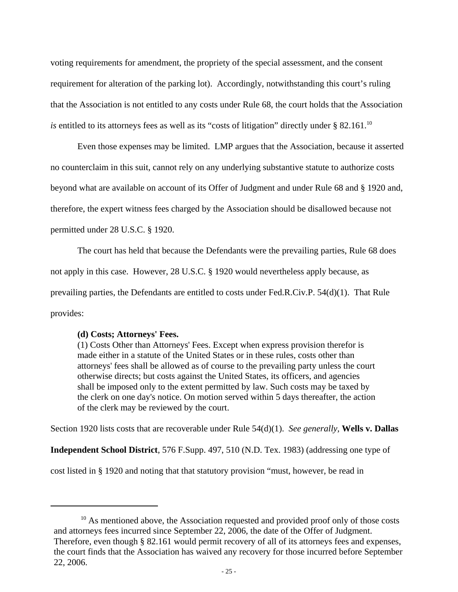voting requirements for amendment, the propriety of the special assessment, and the consent requirement for alteration of the parking lot). Accordingly, notwithstanding this court's ruling that the Association is not entitled to any costs under Rule 68, the court holds that the Association *is* entitled to its attorneys fees as well as its "costs of litigation" directly under  $\S$  82.161.<sup>10</sup>

Even those expenses may be limited. LMP argues that the Association, because it asserted no counterclaim in this suit, cannot rely on any underlying substantive statute to authorize costs beyond what are available on account of its Offer of Judgment and under Rule 68 and § 1920 and, therefore, the expert witness fees charged by the Association should be disallowed because not permitted under 28 U.S.C. § 1920.

The court has held that because the Defendants were the prevailing parties, Rule 68 does not apply in this case. However, 28 U.S.C. § 1920 would nevertheless apply because, as prevailing parties, the Defendants are entitled to costs under Fed.R.Civ.P. 54(d)(1). That Rule provides:

### **(d) Costs; Attorneys' Fees.**

(1) Costs Other than Attorneys' Fees. Except when express provision therefor is made either in a statute of the United States or in these rules, costs other than attorneys' fees shall be allowed as of course to the prevailing party unless the court otherwise directs; but costs against the United States, its officers, and agencies shall be imposed only to the extent permitted by law. Such costs may be taxed by the clerk on one day's notice. On motion served within 5 days thereafter, the action of the clerk may be reviewed by the court.

Section 1920 lists costs that are recoverable under Rule 54(d)(1). *See generally,* **Wells v. Dallas**

**Independent School District**, 576 F.Supp. 497, 510 (N.D. Tex. 1983) (addressing one type of

cost listed in § 1920 and noting that that statutory provision "must, however, be read in

 $10$  As mentioned above, the Association requested and provided proof only of those costs and attorneys fees incurred since September 22, 2006, the date of the Offer of Judgment. Therefore, even though § 82.161 would permit recovery of all of its attorneys fees and expenses, the court finds that the Association has waived any recovery for those incurred before September 22, 2006.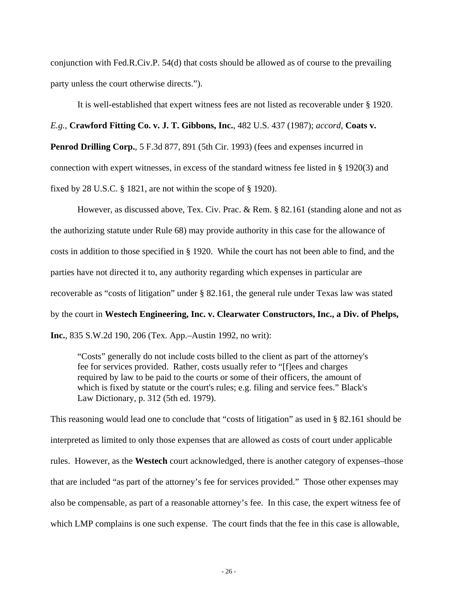conjunction with Fed.R.Civ.P. 54(d) that costs should be allowed as of course to the prevailing party unless the court otherwise directs.").

It is well-established that expert witness fees are not listed as recoverable under § 1920. *E.g.,* **Crawford Fitting Co. v. J. T. Gibbons, Inc.**, 482 U.S. 437 (1987); *accord,* **Coats v. Penrod Drilling Corp.**, 5 F.3d 877, 891 (5th Cir. 1993) (fees and expenses incurred in connection with expert witnesses, in excess of the standard witness fee listed in § 1920(3) and

fixed by 28 U.S.C. § 1821, are not within the scope of § 1920).

However, as discussed above, Tex. Civ. Prac. & Rem. § 82.161 (standing alone and not as the authorizing statute under Rule 68) may provide authority in this case for the allowance of costs in addition to those specified in § 1920. While the court has not been able to find, and the parties have not directed it to, any authority regarding which expenses in particular are recoverable as "costs of litigation" under § 82.161, the general rule under Texas law was stated by the court in **Westech Engineering, Inc. v. Clearwater Constructors, Inc., a Div. of Phelps, Inc.**, 835 S.W.2d 190, 206 (Tex. App.–Austin 1992, no writ):

"Costs" generally do not include costs billed to the client as part of the attorney's fee for services provided. Rather, costs usually refer to "[f]ees and charges required by law to be paid to the courts or some of their officers, the amount of which is fixed by statute or the court's rules; e.g. filing and service fees." Black's Law Dictionary, p. 312 (5th ed. 1979).

This reasoning would lead one to conclude that "costs of litigation" as used in § 82.161 should be interpreted as limited to only those expenses that are allowed as costs of court under applicable rules. However, as the **Westech** court acknowledged, there is another category of expenses–those that are included "as part of the attorney's fee for services provided." Those other expenses may also be compensable, as part of a reasonable attorney's fee. In this case, the expert witness fee of which LMP complains is one such expense. The court finds that the fee in this case is allowable,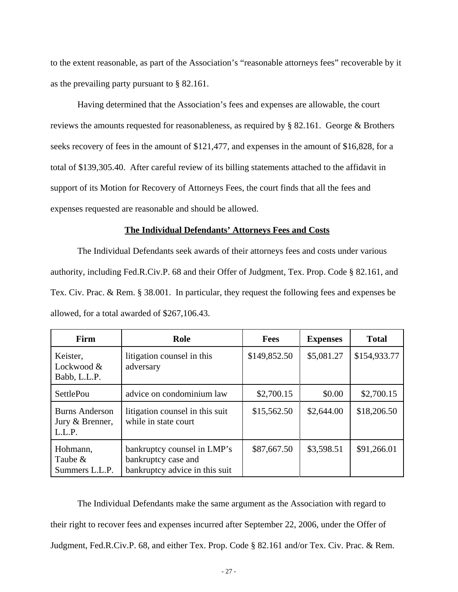to the extent reasonable, as part of the Association's "reasonable attorneys fees" recoverable by it as the prevailing party pursuant to § 82.161.

Having determined that the Association's fees and expenses are allowable, the court reviews the amounts requested for reasonableness, as required by § 82.161. George & Brothers seeks recovery of fees in the amount of \$121,477, and expenses in the amount of \$16,828, for a total of \$139,305.40. After careful review of its billing statements attached to the affidavit in support of its Motion for Recovery of Attorneys Fees, the court finds that all the fees and expenses requested are reasonable and should be allowed.

## **The Individual Defendants' Attorneys Fees and Costs**

The Individual Defendants seek awards of their attorneys fees and costs under various authority, including Fed.R.Civ.P. 68 and their Offer of Judgment, Tex. Prop. Code § 82.161, and Tex. Civ. Prac. & Rem. § 38.001. In particular, they request the following fees and expenses be allowed, for a total awarded of \$267,106.43.

| Firm                                               | Role                                                                                 | <b>Fees</b>  | <b>Expenses</b> | <b>Total</b> |
|----------------------------------------------------|--------------------------------------------------------------------------------------|--------------|-----------------|--------------|
| Keister,<br>Lockwood &<br>Babb, L.L.P.             | litigation counsel in this<br>adversary                                              | \$149,852.50 | \$5,081.27      | \$154,933.77 |
| <b>SettlePou</b>                                   | advice on condominium law                                                            | \$2,700.15   | \$0.00          | \$2,700.15   |
| <b>Burns Anderson</b><br>Jury & Brenner,<br>L.L.P. | litigation counsel in this suit<br>while in state court                              | \$15,562.50  | \$2,644.00      | \$18,206.50  |
| Hohmann,<br>Taube $\&$<br>Summers L.L.P.           | bankruptcy counsel in LMP's<br>bankruptcy case and<br>bankruptcy advice in this suit | \$87,667.50  | \$3,598.51      | \$91,266.01  |

The Individual Defendants make the same argument as the Association with regard to their right to recover fees and expenses incurred after September 22, 2006, under the Offer of Judgment, Fed.R.Civ.P. 68, and either Tex. Prop. Code § 82.161 and/or Tex. Civ. Prac. & Rem.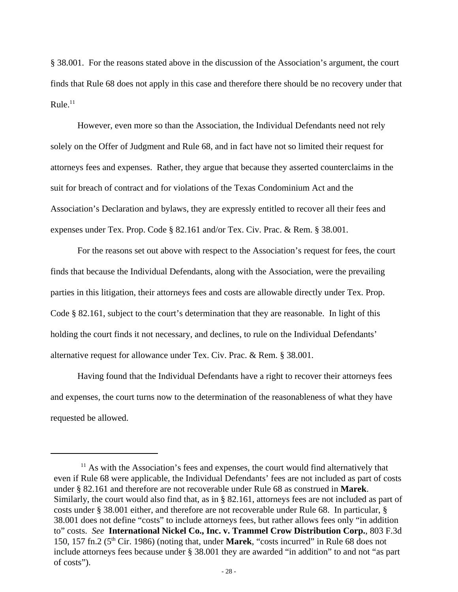§ 38.001. For the reasons stated above in the discussion of the Association's argument, the court finds that Rule 68 does not apply in this case and therefore there should be no recovery under that  $Rule<sup>11</sup>$ 

However, even more so than the Association, the Individual Defendants need not rely solely on the Offer of Judgment and Rule 68, and in fact have not so limited their request for attorneys fees and expenses. Rather, they argue that because they asserted counterclaims in the suit for breach of contract and for violations of the Texas Condominium Act and the Association's Declaration and bylaws, they are expressly entitled to recover all their fees and expenses under Tex. Prop. Code § 82.161 and/or Tex. Civ. Prac. & Rem. § 38.001.

For the reasons set out above with respect to the Association's request for fees, the court finds that because the Individual Defendants, along with the Association, were the prevailing parties in this litigation, their attorneys fees and costs are allowable directly under Tex. Prop. Code § 82.161, subject to the court's determination that they are reasonable. In light of this holding the court finds it not necessary, and declines, to rule on the Individual Defendants' alternative request for allowance under Tex. Civ. Prac. & Rem. § 38.001.

Having found that the Individual Defendants have a right to recover their attorneys fees and expenses, the court turns now to the determination of the reasonableness of what they have requested be allowed.

 $11$  As with the Association's fees and expenses, the court would find alternatively that even if Rule 68 were applicable, the Individual Defendants' fees are not included as part of costs under § 82.161 and therefore are not recoverable under Rule 68 as construed in **Marek**. Similarly, the court would also find that, as in § 82.161, attorneys fees are not included as part of costs under § 38.001 either, and therefore are not recoverable under Rule 68. In particular, § 38.001 does not define "costs" to include attorneys fees, but rather allows fees only "in addition to" costs. *See* **International Nickel Co., Inc. v. Trammel Crow Distribution Corp.**, 803 F.3d 150, 157 fn.2 (5th Cir. 1986) (noting that, under **Marek**, "costs incurred" in Rule 68 does not include attorneys fees because under § 38.001 they are awarded "in addition" to and not "as part of costs").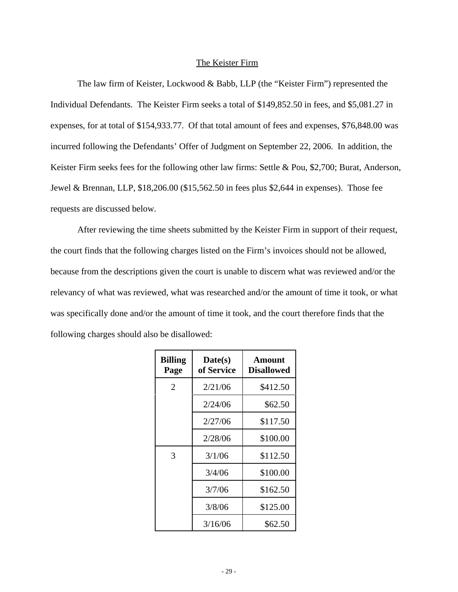# The Keister Firm

The law firm of Keister, Lockwood & Babb, LLP (the "Keister Firm") represented the Individual Defendants. The Keister Firm seeks a total of \$149,852.50 in fees, and \$5,081.27 in expenses, for at total of \$154,933.77. Of that total amount of fees and expenses, \$76,848.00 was incurred following the Defendants' Offer of Judgment on September 22, 2006. In addition, the Keister Firm seeks fees for the following other law firms: Settle & Pou, \$2,700; Burat, Anderson, Jewel & Brennan, LLP, \$18,206.00 (\$15,562.50 in fees plus \$2,644 in expenses). Those fee requests are discussed below.

After reviewing the time sheets submitted by the Keister Firm in support of their request, the court finds that the following charges listed on the Firm's invoices should not be allowed, because from the descriptions given the court is unable to discern what was reviewed and/or the relevancy of what was reviewed, what was researched and/or the amount of time it took, or what was specifically done and/or the amount of time it took, and the court therefore finds that the following charges should also be disallowed:

| <b>Billing</b><br>Page | Date(s)<br>of Service | <b>Amount</b><br><b>Disallowed</b> |
|------------------------|-----------------------|------------------------------------|
| 2                      | 2/21/06               | \$412.50                           |
|                        | 2/24/06               | \$62.50                            |
|                        | 2/27/06               | \$117.50                           |
|                        | 2/28/06               | \$100.00                           |
| 3                      | 3/1/06                | \$112.50                           |
|                        | 3/4/06                | \$100.00                           |
|                        | 3/7/06                | \$162.50                           |
|                        | 3/8/06                | \$125.00                           |
|                        | 3/16/06               | \$62.50                            |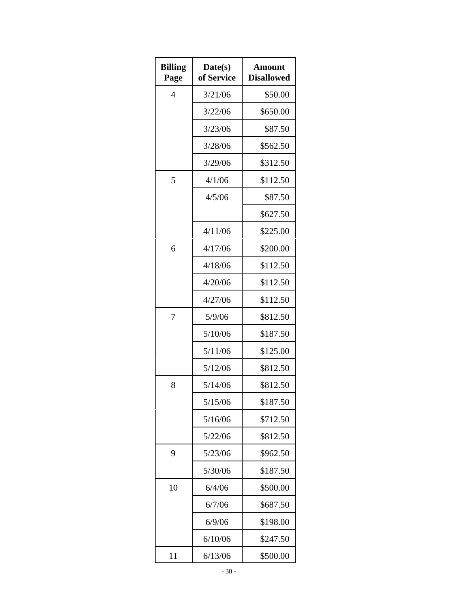| <b>Billing</b><br>Page | Date(s)<br>of Service | Amount<br><b>Disallowed</b> |
|------------------------|-----------------------|-----------------------------|
| $\overline{4}$         | 3/21/06               | \$50.00                     |
|                        | 3/22/06               | \$650.00                    |
|                        | 3/23/06               | \$87.50                     |
|                        | 3/28/06               | \$562.50                    |
|                        | 3/29/06               | \$312.50                    |
| 5                      | 4/1/06                | \$112.50                    |
|                        | 4/5/06                | \$87.50                     |
|                        |                       | \$627.50                    |
|                        | 4/11/06               | \$225.00                    |
| 6                      | 4/17/06               | \$200.00                    |
|                        | 4/18/06               | \$112.50                    |
|                        | 4/20/06               | \$112.50                    |
|                        | 4/27/06               | \$112.50                    |
| 7                      | 5/9/06                | \$812.50                    |
|                        | 5/10/06               | \$187.50                    |
|                        | 5/11/06               | \$125.00                    |
|                        | 5/12/06               | \$812.50                    |
| 8                      | 5/14/06               | \$812.50                    |
|                        | 5/15/06               | \$187.50                    |
|                        | 5/16/06               | \$712.50                    |
|                        | 5/22/06               | \$812.50                    |
| 9                      | 5/23/06               | \$962.50                    |
|                        | 5/30/06               | \$187.50                    |
| 10                     | 6/4/06                | \$500.00                    |
|                        | 6/7/06                | \$687.50                    |
|                        | 6/9/06                | \$198.00                    |
|                        | 6/10/06               | \$247.50                    |
| 11                     | 6/13/06               | \$500.00                    |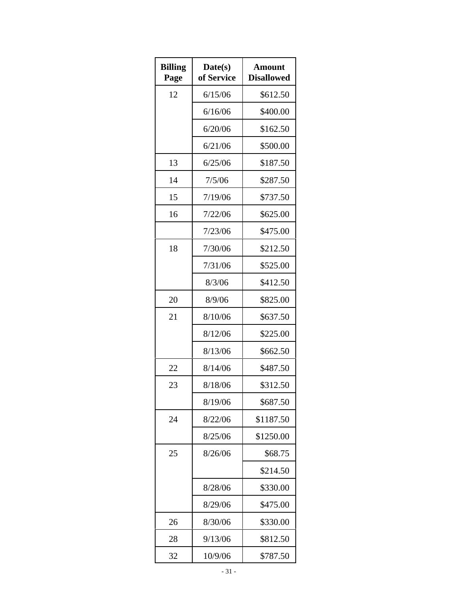| <b>Billing</b><br>Page | Date(s)<br>of Service | Amount<br><b>Disallowed</b> |
|------------------------|-----------------------|-----------------------------|
| 12                     | 6/15/06               | \$612.50                    |
|                        | 6/16/06               | \$400.00                    |
|                        | 6/20/06               | \$162.50                    |
|                        | 6/21/06               | \$500.00                    |
| 13                     | 6/25/06               | \$187.50                    |
| 14                     | 7/5/06                | \$287.50                    |
| 15                     | 7/19/06               | \$737.50                    |
| 16                     | 7/22/06               | \$625.00                    |
|                        | 7/23/06               | \$475.00                    |
| 18                     | 7/30/06               | \$212.50                    |
|                        | 7/31/06               | \$525.00                    |
|                        | 8/3/06                | \$412.50                    |
| 20                     | 8/9/06                | \$825.00                    |
| 21                     | 8/10/06               | \$637.50                    |
|                        | 8/12/06               | \$225.00                    |
|                        | 8/13/06               | \$662.50                    |
| 22                     | 8/14/06               | \$487.50                    |
| 23                     | 8/18/06               | \$312.50                    |
|                        | 8/19/06               | \$687.50                    |
| 24                     | 8/22/06               | \$1187.50                   |
|                        | 8/25/06               | \$1250.00                   |
| 25                     | 8/26/06               | \$68.75                     |
|                        |                       | \$214.50                    |
|                        | 8/28/06               | \$330.00                    |
|                        | 8/29/06               | \$475.00                    |
| 26                     | 8/30/06               | \$330.00                    |
| 28                     | 9/13/06               | \$812.50                    |
| 32                     | 10/9/06               | \$787.50                    |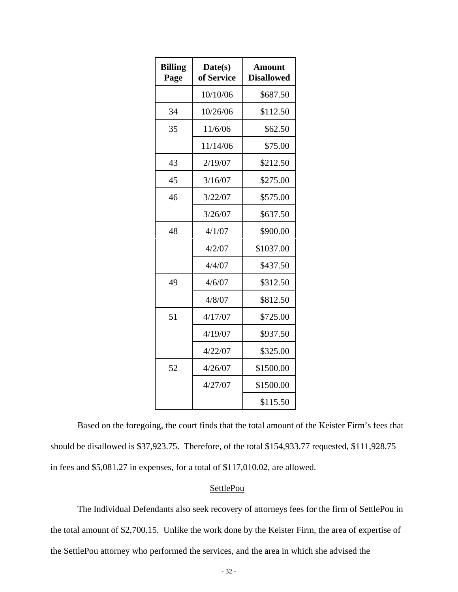| <b>Billing</b><br>Page | Date(s)<br>of Service | Amount<br><b>Disallowed</b> |
|------------------------|-----------------------|-----------------------------|
|                        | 10/10/06              | \$687.50                    |
| 34                     | 10/26/06              | \$112.50                    |
| 35                     | 11/6/06               | \$62.50                     |
|                        | 11/14/06              | \$75.00                     |
| 43                     | 2/19/07               | \$212.50                    |
| 45                     | 3/16/07               | \$275.00                    |
| 46                     | 3/22/07               | \$575.00                    |
|                        | 3/26/07               | \$637.50                    |
| 48                     | 4/1/07                | \$900.00                    |
|                        | 4/2/07                | \$1037.00                   |
|                        | 4/4/07                | \$437.50                    |
| 49                     | 4/6/07                | \$312.50                    |
|                        | 4/8/07                | \$812.50                    |
| 51                     | 4/17/07               | \$725.00                    |
|                        | 4/19/07               | \$937.50                    |
|                        | 4/22/07               | \$325.00                    |
| 52                     | 4/26/07               | \$1500.00                   |
|                        | 4/27/07               | \$1500.00                   |
|                        |                       | \$115.50                    |

Based on the foregoing, the court finds that the total amount of the Keister Firm's fees that should be disallowed is \$37,923.75. Therefore, of the total \$154,933.77 requested, \$111,928.75 in fees and \$5,081.27 in expenses, for a total of \$117,010.02, are allowed.

#### **SettlePou**

The Individual Defendants also seek recovery of attorneys fees for the firm of SettlePou in the total amount of \$2,700.15. Unlike the work done by the Keister Firm, the area of expertise of the SettlePou attorney who performed the services, and the area in which she advised the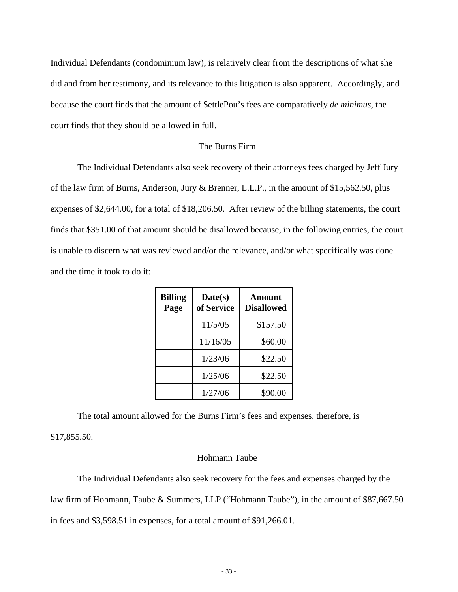Individual Defendants (condominium law), is relatively clear from the descriptions of what she did and from her testimony, and its relevance to this litigation is also apparent. Accordingly, and because the court finds that the amount of SettlePou's fees are comparatively *de minimus,* the court finds that they should be allowed in full.

#### The Burns Firm

The Individual Defendants also seek recovery of their attorneys fees charged by Jeff Jury of the law firm of Burns, Anderson, Jury & Brenner, L.L.P., in the amount of \$15,562.50, plus expenses of \$2,644.00, for a total of \$18,206.50. After review of the billing statements, the court finds that \$351.00 of that amount should be disallowed because, in the following entries, the court is unable to discern what was reviewed and/or the relevance, and/or what specifically was done and the time it took to do it:

| <b>Billing</b><br>Page | Date(s)<br>of Service | Amount<br><b>Disallowed</b> |
|------------------------|-----------------------|-----------------------------|
|                        | 11/5/05               | \$157.50                    |
|                        | 11/16/05              | \$60.00                     |
|                        | 1/23/06               | \$22.50                     |
|                        | 1/25/06               | \$22.50                     |
|                        | 1/27/06               | \$90.00                     |

The total amount allowed for the Burns Firm's fees and expenses, therefore, is \$17,855.50.

### Hohmann Taube

The Individual Defendants also seek recovery for the fees and expenses charged by the law firm of Hohmann, Taube & Summers, LLP ("Hohmann Taube"), in the amount of \$87,667.50 in fees and \$3,598.51 in expenses, for a total amount of \$91,266.01.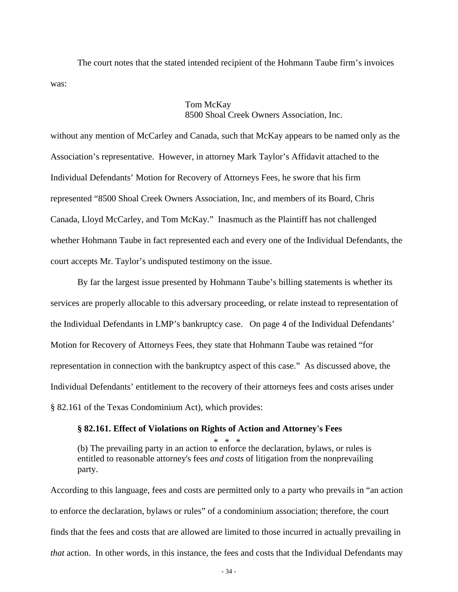The court notes that the stated intended recipient of the Hohmann Taube firm's invoices was:

# Tom McKay 8500 Shoal Creek Owners Association, Inc.

without any mention of McCarley and Canada, such that McKay appears to be named only as the Association's representative. However, in attorney Mark Taylor's Affidavit attached to the Individual Defendants' Motion for Recovery of Attorneys Fees, he swore that his firm represented "8500 Shoal Creek Owners Association, Inc, and members of its Board, Chris Canada, Lloyd McCarley, and Tom McKay." Inasmuch as the Plaintiff has not challenged whether Hohmann Taube in fact represented each and every one of the Individual Defendants, the court accepts Mr. Taylor's undisputed testimony on the issue.

By far the largest issue presented by Hohmann Taube's billing statements is whether its services are properly allocable to this adversary proceeding, or relate instead to representation of the Individual Defendants in LMP's bankruptcy case. On page 4 of the Individual Defendants' Motion for Recovery of Attorneys Fees, they state that Hohmann Taube was retained "for representation in connection with the bankruptcy aspect of this case." As discussed above, the Individual Defendants' entitlement to the recovery of their attorneys fees and costs arises under § 82.161 of the Texas Condominium Act), which provides:

### **§ 82.161. Effect of Violations on Rights of Action and Attorney's Fees**

\* \* \* (b) The prevailing party in an action to enforce the declaration, bylaws, or rules is entitled to reasonable attorney's fees *and costs* of litigation from the nonprevailing party.

According to this language, fees and costs are permitted only to a party who prevails in "an action to enforce the declaration, bylaws or rules" of a condominium association; therefore, the court finds that the fees and costs that are allowed are limited to those incurred in actually prevailing in *that* action. In other words, in this instance, the fees and costs that the Individual Defendants may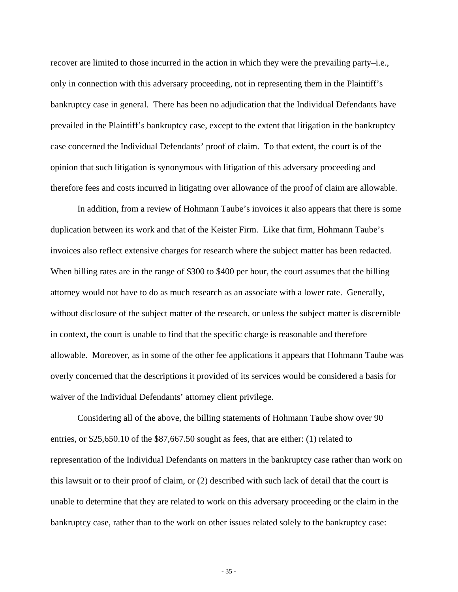recover are limited to those incurred in the action in which they were the prevailing party–i.e., only in connection with this adversary proceeding, not in representing them in the Plaintiff's bankruptcy case in general. There has been no adjudication that the Individual Defendants have prevailed in the Plaintiff's bankruptcy case, except to the extent that litigation in the bankruptcy case concerned the Individual Defendants' proof of claim. To that extent, the court is of the opinion that such litigation is synonymous with litigation of this adversary proceeding and therefore fees and costs incurred in litigating over allowance of the proof of claim are allowable.

In addition, from a review of Hohmann Taube's invoices it also appears that there is some duplication between its work and that of the Keister Firm. Like that firm, Hohmann Taube's invoices also reflect extensive charges for research where the subject matter has been redacted. When billing rates are in the range of \$300 to \$400 per hour, the court assumes that the billing attorney would not have to do as much research as an associate with a lower rate. Generally, without disclosure of the subject matter of the research, or unless the subject matter is discernible in context, the court is unable to find that the specific charge is reasonable and therefore allowable. Moreover, as in some of the other fee applications it appears that Hohmann Taube was overly concerned that the descriptions it provided of its services would be considered a basis for waiver of the Individual Defendants' attorney client privilege.

Considering all of the above, the billing statements of Hohmann Taube show over 90 entries, or \$25,650.10 of the \$87,667.50 sought as fees, that are either: (1) related to representation of the Individual Defendants on matters in the bankruptcy case rather than work on this lawsuit or to their proof of claim, or (2) described with such lack of detail that the court is unable to determine that they are related to work on this adversary proceeding or the claim in the bankruptcy case, rather than to the work on other issues related solely to the bankruptcy case:

- 35 -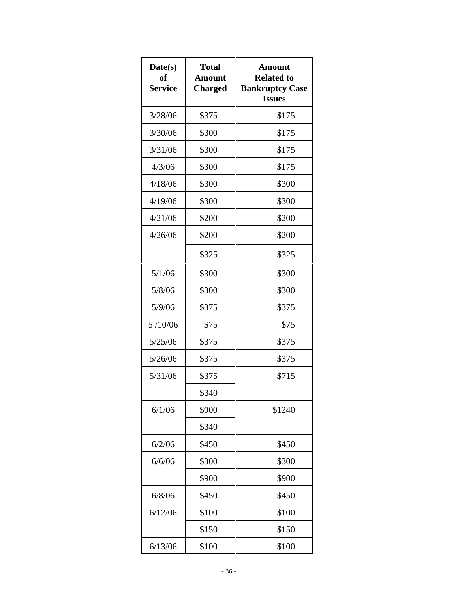| Date(s)<br>of<br><b>Service</b> | <b>Total</b><br><b>Amount</b><br><b>Charged</b> | Amount<br><b>Related to</b><br><b>Bankruptcy Case</b><br><b>Issues</b> |
|---------------------------------|-------------------------------------------------|------------------------------------------------------------------------|
| 3/28/06                         | \$375                                           | \$175                                                                  |
| 3/30/06                         | \$300                                           | \$175                                                                  |
| 3/31/06                         | \$300                                           | \$175                                                                  |
| 4/3/06                          | \$300                                           | \$175                                                                  |
| 4/18/06                         | \$300                                           | \$300                                                                  |
| 4/19/06                         | \$300                                           | \$300                                                                  |
| 4/21/06                         | \$200                                           | \$200                                                                  |
| 4/26/06                         | \$200                                           | \$200                                                                  |
|                                 | \$325                                           | \$325                                                                  |
| 5/1/06                          | \$300                                           | \$300                                                                  |
| 5/8/06                          | \$300                                           | \$300                                                                  |
| 5/9/06                          | \$375                                           | \$375                                                                  |
| 5/10/06                         | \$75                                            | \$75                                                                   |
| 5/25/06                         | \$375                                           | \$375                                                                  |
| 5/26/06                         | \$375                                           | \$375                                                                  |
| 5/31/06                         | \$375                                           | \$715                                                                  |
|                                 | \$340                                           |                                                                        |
| 6/1/06                          | \$900                                           | \$1240                                                                 |
|                                 | \$340                                           |                                                                        |
| 6/2/06                          | \$450                                           | \$450                                                                  |
| 6/6/06                          | \$300                                           | \$300                                                                  |
|                                 | \$900                                           | \$900                                                                  |
| 6/8/06                          | \$450                                           | \$450                                                                  |
| 6/12/06                         | \$100                                           | \$100                                                                  |
|                                 | \$150                                           | \$150                                                                  |
| 6/13/06                         | \$100                                           | \$100                                                                  |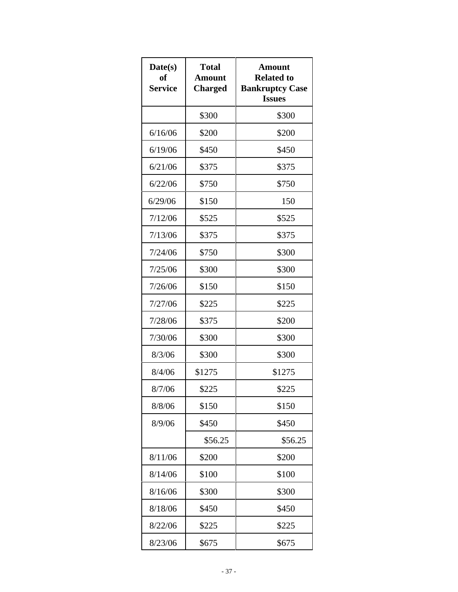| Date(s)<br><b>of</b><br><b>Service</b> | <b>Total</b><br><b>Amount</b><br><b>Charged</b> | Amount<br><b>Related to</b><br><b>Bankruptcy Case</b><br><b>Issues</b> |
|----------------------------------------|-------------------------------------------------|------------------------------------------------------------------------|
|                                        | \$300                                           | \$300                                                                  |
| 6/16/06                                | \$200                                           | \$200                                                                  |
| 6/19/06                                | \$450                                           | \$450                                                                  |
| 6/21/06                                | \$375                                           | \$375                                                                  |
| 6/22/06                                | \$750                                           | \$750                                                                  |
| 6/29/06                                | \$150                                           | 150                                                                    |
| 7/12/06                                | \$525                                           | \$525                                                                  |
| 7/13/06                                | \$375                                           | \$375                                                                  |
| 7/24/06                                | \$750                                           | \$300                                                                  |
| 7/25/06                                | \$300                                           | \$300                                                                  |
| 7/26/06                                | \$150                                           | \$150                                                                  |
| 7/27/06                                | \$225                                           | \$225                                                                  |
| 7/28/06                                | \$375                                           | \$200                                                                  |
| 7/30/06                                | \$300                                           | \$300                                                                  |
| 8/3/06                                 | \$300                                           | \$300                                                                  |
| 8/4/06                                 | \$1275                                          | \$1275                                                                 |
| 8/7/06                                 | \$225                                           | \$225                                                                  |
| 8/8/06                                 | \$150                                           | \$150                                                                  |
| 8/9/06                                 | \$450                                           | \$450                                                                  |
|                                        | \$56.25                                         | \$56.25                                                                |
| 8/11/06                                | \$200                                           | \$200                                                                  |
| 8/14/06                                | \$100                                           | \$100                                                                  |
| 8/16/06                                | \$300                                           | \$300                                                                  |
| 8/18/06                                | \$450                                           | \$450                                                                  |
| 8/22/06                                | \$225                                           | \$225                                                                  |
| 8/23/06                                | \$675                                           | \$675                                                                  |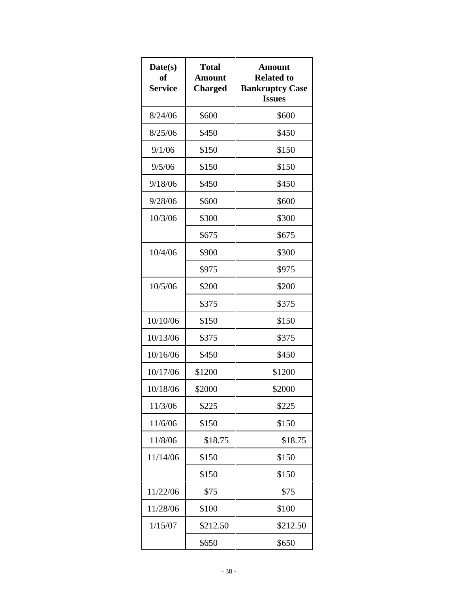| Date(s)<br>of<br><b>Service</b> | <b>Total</b><br><b>Amount</b><br><b>Charged</b> | Amount<br><b>Related to</b><br><b>Bankruptcy Case</b><br><b>Issues</b> |
|---------------------------------|-------------------------------------------------|------------------------------------------------------------------------|
| 8/24/06                         | \$600                                           | \$600                                                                  |
| 8/25/06                         | \$450                                           | \$450                                                                  |
| 9/1/06                          | \$150                                           | \$150                                                                  |
| 9/5/06                          | \$150                                           | \$150                                                                  |
| 9/18/06                         | \$450                                           | \$450                                                                  |
| 9/28/06                         | \$600                                           | \$600                                                                  |
| 10/3/06                         | \$300                                           | \$300                                                                  |
|                                 | \$675                                           | \$675                                                                  |
| 10/4/06                         | \$900                                           | \$300                                                                  |
|                                 | \$975                                           | \$975                                                                  |
| 10/5/06                         | \$200                                           | \$200                                                                  |
|                                 | \$375                                           | \$375                                                                  |
| 10/10/06                        | \$150                                           | \$150                                                                  |
| 10/13/06                        | \$375                                           | \$375                                                                  |
| 10/16/06                        | \$450                                           | \$450                                                                  |
| 10/17/06                        | \$1200                                          | \$1200                                                                 |
| 10/18/06                        | \$2000                                          | \$2000                                                                 |
| 11/3/06                         | \$225                                           | \$225                                                                  |
| 11/6/06                         | \$150                                           | \$150                                                                  |
| 11/8/06                         | \$18.75                                         | \$18.75                                                                |
| 11/14/06                        | \$150                                           | \$150                                                                  |
|                                 | \$150                                           | \$150                                                                  |
| 11/22/06                        | \$75                                            | \$75                                                                   |
| 11/28/06                        | \$100                                           | \$100                                                                  |
| 1/15/07                         | \$212.50                                        | \$212.50                                                               |
|                                 | \$650                                           | \$650                                                                  |